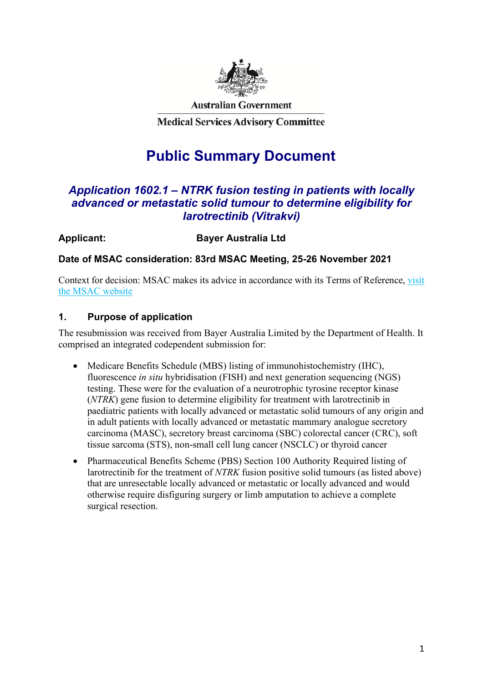

**Australian Government** 

**Medical Services Advisory Committee** 

# **Public Summary Document**

# *Application 1602.1 – NTRK fusion testing in patients with locally advanced or metastatic solid tumour to determine eligibility for larotrectinib (Vitrakvi)*

**Applicant: Bayer Australia Ltd**

**Date of MSAC consideration: 83rd MSAC Meeting, 25-26 November 2021**

Context for decision: MSAC makes its advice in accordance with its Terms of Reference, [visit](http://www.msac.gov.au/) [the MSAC website](http://www.msac.gov.au/)

# **1. Purpose of application**

The resubmission was received from Bayer Australia Limited by the Department of Health. It comprised an integrated codependent submission for:

- Medicare Benefits Schedule (MBS) listing of immunohistochemistry (IHC), fluorescence *in situ* hybridisation (FISH) and next generation sequencing (NGS) testing. These were for the evaluation of a neurotrophic tyrosine receptor kinase (*NTRK*) gene fusion to determine eligibility for treatment with larotrectinib in paediatric patients with locally advanced or metastatic solid tumours of any origin and in adult patients with locally advanced or metastatic mammary analogue secretory carcinoma (MASC), secretory breast carcinoma (SBC) colorectal cancer (CRC), soft tissue sarcoma (STS), non-small cell lung cancer (NSCLC) or thyroid cancer
- Pharmaceutical Benefits Scheme (PBS) Section 100 Authority Required listing of larotrectinib for the treatment of *NTRK* fusion positive solid tumours (as listed above) that are unresectable locally advanced or metastatic or locally advanced and would otherwise require disfiguring surgery or limb amputation to achieve a complete surgical resection.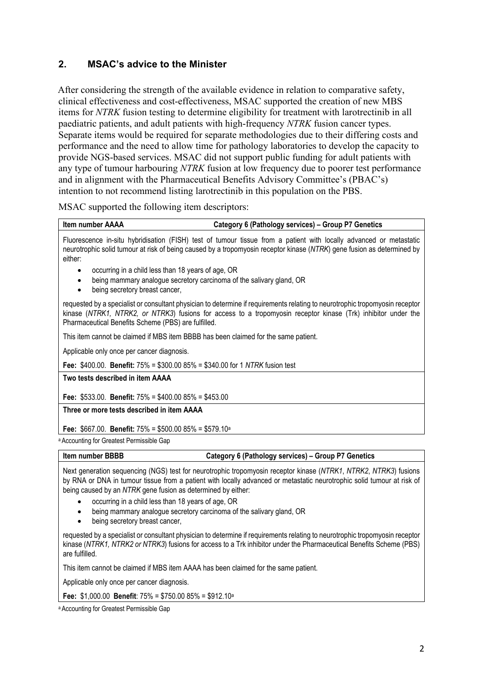# **2. MSAC's advice to the Minister**

After considering the strength of the available evidence in relation to comparative safety, clinical effectiveness and cost-effectiveness, MSAC supported the creation of new MBS items for *NTRK* fusion testing to determine eligibility for treatment with larotrectinib in all paediatric patients, and adult patients with high-frequency *NTRK* fusion cancer types. Separate items would be required for separate methodologies due to their differing costs and performance and the need to allow time for pathology laboratories to develop the capacity to provide NGS-based services. MSAC did not support public funding for adult patients with any type of tumour harbouring *NTRK* fusion at low frequency due to poorer test performance and in alignment with the Pharmaceutical Benefits Advisory Committee's (PBAC's) intention to not recommend listing larotrectinib in this population on the PBS.

MSAC supported the following item descriptors:

|  | <b>Item number AAAA</b> |  |
|--|-------------------------|--|
|--|-------------------------|--|

#### **Category 6 (Pathology services) – Group P7 Genetics**

Fluorescence in-situ hybridisation (FISH) test of tumour tissue from a patient with locally advanced or metastatic neurotrophic solid tumour at risk of being caused by a tropomyosin receptor kinase (*NTRK*) gene fusion as determined by either:

- occurring in a child less than 18 years of age, OR
- being mammary analogue secretory carcinoma of the salivary gland, OR
- being secretory breast cancer.

requested by a specialist or consultant physician to determine if requirements relating to neurotrophic tropomyosin receptor kinase (*NTRK1, NTRK2, or NTRK3*) fusions for access to a tropomyosin receptor kinase (Trk) inhibitor under the Pharmaceutical Benefits Scheme (PBS) are fulfilled.

This item cannot be claimed if MBS item BBBB has been claimed for the same patient.

Applicable only once per cancer diagnosis.

**Fee:** \$400.00. **Benefit:** 75% = \$300.00 85% = \$340.00 for 1 *NTRK* fusion test

**Two tests described in item AAAA**

**Fee:** \$533.00. **Benefit:** 75% = \$400.00 85% = \$453.00

**Three or more tests described in item AAAA**

**Fee:** \$667.00. **Benefit:** 75% = \$500.00 85% = \$579.10a

a Accounting for Greatest Permissible Gap

| Item number BBBB<br>Category 6 (Pathology services) - Group P7 Genetics |  |
|-------------------------------------------------------------------------|--|
|-------------------------------------------------------------------------|--|

Next generation sequencing (NGS) test for neurotrophic tropomyosin receptor kinase (*NTRK1*, *NTRK2*, *NTRK3*) fusions by RNA or DNA in tumour tissue from a patient with locally advanced or metastatic neurotrophic solid tumour at risk of being caused by an *NTRK* gene fusion as determined by either:

- occurring in a child less than 18 years of age, OR
- being mammary analogue secretory carcinoma of the salivary gland, OR
- being secretory breast cancer.

requested by a specialist or consultant physician to determine if requirements relating to neurotrophic tropomyosin receptor kinase (*NTRK1, NTRK2 or NTRK3*) fusions for access to a Trk inhibitor under the Pharmaceutical Benefits Scheme (PBS) are fulfilled.

This item cannot be claimed if MBS item AAAA has been claimed for the same patient.

Applicable only once per cancer diagnosis.

**Fee:** \$1,000.00 **Benefit**: 75% = \$750.00 85% = \$912.10a

a Accounting for Greatest Permissible Gap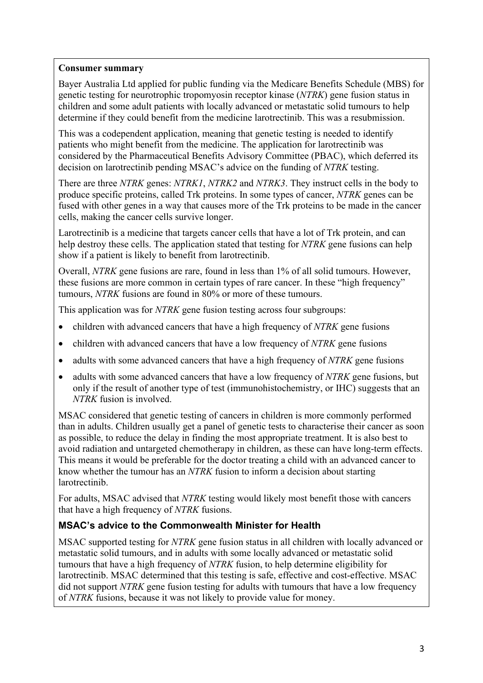### **Consumer summary**

Bayer Australia Ltd applied for public funding via the Medicare Benefits Schedule (MBS) for genetic testing for neurotrophic tropomyosin receptor kinase (*NTRK*) gene fusion status in children and some adult patients with locally advanced or metastatic solid tumours to help determine if they could benefit from the medicine larotrectinib. This was a resubmission.

This was a codependent application, meaning that genetic testing is needed to identify patients who might benefit from the medicine. The application for larotrectinib was considered by the Pharmaceutical Benefits Advisory Committee (PBAC), which deferred its decision on larotrectinib pending MSAC's advice on the funding of *NTRK* testing.

There are three *NTRK* genes: *NTRK1*, *NTRK2* and *NTRK3*. They instruct cells in the body to produce specific proteins, called Trk proteins. In some types of cancer, *NTRK* genes can be fused with other genes in a way that causes more of the Trk proteins to be made in the cancer cells, making the cancer cells survive longer.

Larotrectinib is a medicine that targets cancer cells that have a lot of Trk protein, and can help destroy these cells. The application stated that testing for *NTRK* gene fusions can help show if a patient is likely to benefit from larotrectinib.

Overall, *NTRK* gene fusions are rare, found in less than 1% of all solid tumours. However, these fusions are more common in certain types of rare cancer. In these "high frequency" tumours, *NTRK* fusions are found in 80% or more of these tumours.

This application was for *NTRK* gene fusion testing across four subgroups:

- children with advanced cancers that have a high frequency of *NTRK* gene fusions
- children with advanced cancers that have a low frequency of *NTRK* gene fusions
- adults with some advanced cancers that have a high frequency of *NTRK* gene fusions
- adults with some advanced cancers that have a low frequency of *NTRK* gene fusions, but only if the result of another type of test (immunohistochemistry, or IHC) suggests that an *NTRK* fusion is involved.

MSAC considered that genetic testing of cancers in children is more commonly performed than in adults. Children usually get a panel of genetic tests to characterise their cancer as soon as possible, to reduce the delay in finding the most appropriate treatment. It is also best to avoid radiation and untargeted chemotherapy in children, as these can have long-term effects. This means it would be preferable for the doctor treating a child with an advanced cancer to know whether the tumour has an *NTRK* fusion to inform a decision about starting larotrectinib.

For adults, MSAC advised that *NTRK* testing would likely most benefit those with cancers that have a high frequency of *NTRK* fusions.

### **MSAC's advice to the Commonwealth Minister for Health**

MSAC supported testing for *NTRK* gene fusion status in all children with locally advanced or metastatic solid tumours, and in adults with some locally advanced or metastatic solid tumours that have a high frequency of *NTRK* fusion, to help determine eligibility for larotrectinib. MSAC determined that this testing is safe, effective and cost-effective. MSAC did not support *NTRK* gene fusion testing for adults with tumours that have a low frequency of *NTRK* fusions, because it was not likely to provide value for money.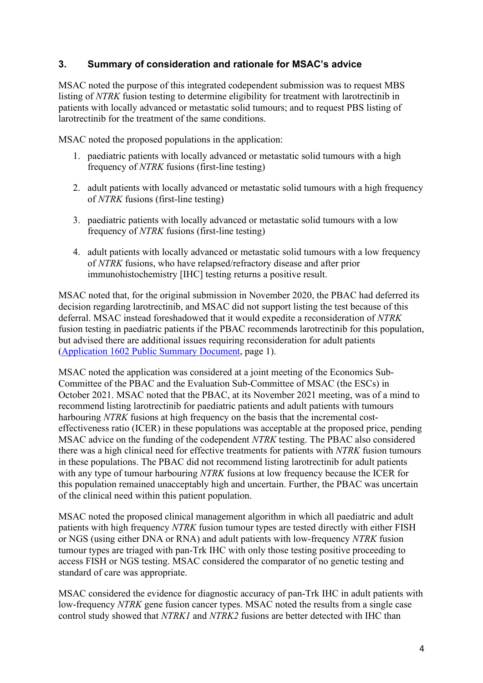# **3. Summary of consideration and rationale for MSAC's advice**

MSAC noted the purpose of this integrated codependent submission was to request MBS listing of *NTRK* fusion testing to determine eligibility for treatment with larotrectinib in patients with locally advanced or metastatic solid tumours; and to request PBS listing of larotrectinib for the treatment of the same conditions.

MSAC noted the proposed populations in the application:

- 1. paediatric patients with locally advanced or metastatic solid tumours with a high frequency of *NTRK* fusions (first-line testing)
- 2. adult patients with locally advanced or metastatic solid tumours with a high frequency of *NTRK* fusions (first-line testing)
- 3. paediatric patients with locally advanced or metastatic solid tumours with a low frequency of *NTRK* fusions (first-line testing)
- 4. adult patients with locally advanced or metastatic solid tumours with a low frequency of *NTRK* fusions, who have relapsed/refractory disease and after prior immunohistochemistry [IHC] testing returns a positive result.

MSAC noted that, for the original submission in November 2020, the PBAC had deferred its decision regarding larotrectinib, and MSAC did not support listing the test because of this deferral. MSAC instead foreshadowed that it would expedite a reconsideration of *NTRK* fusion testing in paediatric patients if the PBAC recommends larotrectinib for this population, but advised there are additional issues requiring reconsideration for adult patients [\(Application 1602 Public Summary Document,](http://www.msac.gov.au/internet/msac/publishing.nsf/Content/1602-public) page 1).

MSAC noted the application was considered at a joint meeting of the Economics Sub-Committee of the PBAC and the Evaluation Sub-Committee of MSAC (the ESCs) in October 2021. MSAC noted that the PBAC, at its November 2021 meeting, was of a mind to recommend listing larotrectinib for paediatric patients and adult patients with tumours harbouring *NTRK* fusions at high frequency on the basis that the incremental costeffectiveness ratio (ICER) in these populations was acceptable at the proposed price, pending MSAC advice on the funding of the codependent *NTRK* testing. The PBAC also considered there was a high clinical need for effective treatments for patients with *NTRK* fusion tumours in these populations. The PBAC did not recommend listing larotrectinib for adult patients with any type of tumour harbouring *NTRK* fusions at low frequency because the ICER for this population remained unacceptably high and uncertain. Further, the PBAC was uncertain of the clinical need within this patient population.

MSAC noted the proposed clinical management algorithm in which all paediatric and adult patients with high frequency *NTRK* fusion tumour types are tested directly with either FISH or NGS (using either DNA or RNA) and adult patients with low-frequency *NTRK* fusion tumour types are triaged with pan-Trk IHC with only those testing positive proceeding to access FISH or NGS testing. MSAC considered the comparator of no genetic testing and standard of care was appropriate.

MSAC considered the evidence for diagnostic accuracy of pan-Trk IHC in adult patients with low-frequency *NTRK* gene fusion cancer types. MSAC noted the results from a single case control study showed that *NTRK1* and *NTRK2* fusions are better detected with IHC than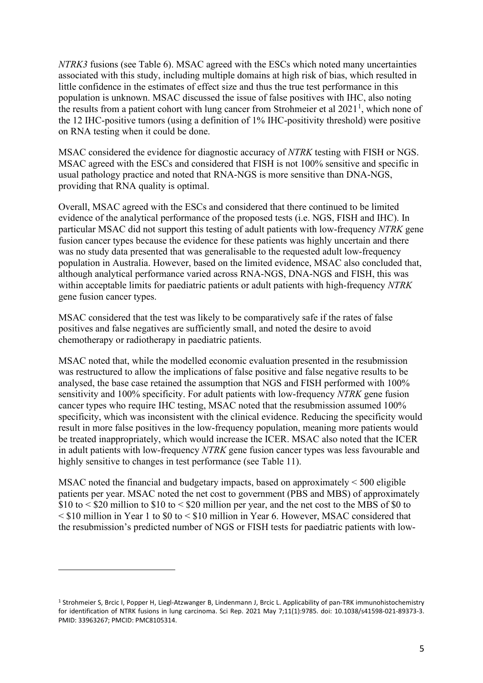*NTRK3* fusions (see Table 6). MSAC agreed with the ESCs which noted many uncertainties associated with this study, including multiple domains at high risk of bias, which resulted in little confidence in the estimates of effect size and thus the true test performance in this population is unknown. MSAC discussed the issue of false positives with IHC, also noting the results from a patient cohort with lung cancer from Strohmeier et al  $2021<sup>1</sup>$  $2021<sup>1</sup>$  $2021<sup>1</sup>$ , which none of the 12 IHC-positive tumors (using a definition of 1% IHC-positivity threshold) were positive on RNA testing when it could be done.

MSAC considered the evidence for diagnostic accuracy of *NTRK* testing with FISH or NGS. MSAC agreed with the ESCs and considered that FISH is not 100% sensitive and specific in usual pathology practice and noted that RNA-NGS is more sensitive than DNA-NGS, providing that RNA quality is optimal.

Overall, MSAC agreed with the ESCs and considered that there continued to be limited evidence of the analytical performance of the proposed tests (i.e. NGS, FISH and IHC). In particular MSAC did not support this testing of adult patients with low-frequency *NTRK* gene fusion cancer types because the evidence for these patients was highly uncertain and there was no study data presented that was generalisable to the requested adult low-frequency population in Australia. However, based on the limited evidence, MSAC also concluded that, although analytical performance varied across RNA-NGS, DNA-NGS and FISH, this was within acceptable limits for paediatric patients or adult patients with high-frequency *NTRK* gene fusion cancer types.

MSAC considered that the test was likely to be comparatively safe if the rates of false positives and false negatives are sufficiently small, and noted the desire to avoid chemotherapy or radiotherapy in paediatric patients.

MSAC noted that, while the modelled economic evaluation presented in the resubmission was restructured to allow the implications of false positive and false negative results to be analysed, the base case retained the assumption that NGS and FISH performed with 100% sensitivity and 100% specificity. For adult patients with low-frequency *NTRK* gene fusion cancer types who require IHC testing, MSAC noted that the resubmission assumed 100% specificity, which was inconsistent with the clinical evidence. Reducing the specificity would result in more false positives in the low-frequency population, meaning more patients would be treated inappropriately, which would increase the ICER. MSAC also noted that the ICER in adult patients with low-frequency *NTRK* gene fusion cancer types was less favourable and highly sensitive to changes in test performance (see Table 11).

MSAC noted the financial and budgetary impacts, based on approximately < 500 eligible patients per year. MSAC noted the net cost to government (PBS and MBS) of approximately  $$10$  to  $$20$  million to  $$10$  to  $$20$  million per year, and the net cost to the MBS of \$0 to < \$10 million in Year 1 to \$0 to < \$10 million in Year 6. However, MSAC considered that the resubmission's predicted number of NGS or FISH tests for paediatric patients with low-

<span id="page-4-0"></span><sup>1</sup> Strohmeier S, Brcic I, Popper H, Liegl-Atzwanger B, Lindenmann J, Brcic L. Applicability of pan-TRK immunohistochemistry for identification of NTRK fusions in lung carcinoma. Sci Rep. 2021 May 7;11(1):9785. doi: 10.1038/s41598-021-89373-3. PMID: 33963267; PMCID: PMC8105314.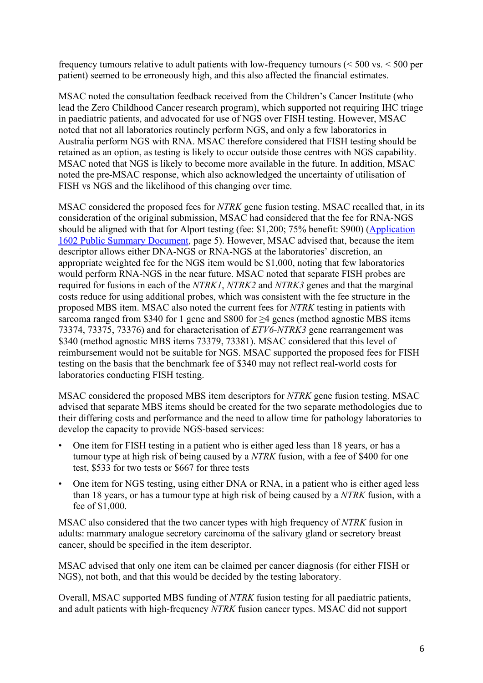frequency tumours relative to adult patients with low-frequency tumours (< 500 vs. < 500 per patient) seemed to be erroneously high, and this also affected the financial estimates.

MSAC noted the consultation feedback received from the Children's Cancer Institute (who lead the Zero Childhood Cancer research program), which supported not requiring IHC triage in paediatric patients, and advocated for use of NGS over FISH testing. However, MSAC noted that not all laboratories routinely perform NGS, and only a few laboratories in Australia perform NGS with RNA. MSAC therefore considered that FISH testing should be retained as an option, as testing is likely to occur outside those centres with NGS capability. MSAC noted that NGS is likely to become more available in the future. In addition, MSAC noted the pre-MSAC response, which also acknowledged the uncertainty of utilisation of FISH vs NGS and the likelihood of this changing over time.

MSAC considered the proposed fees for *NTRK* gene fusion testing. MSAC recalled that, in its consideration of the original submission, MSAC had considered that the fee for RNA-NGS should be aligned with that for Alport testing (fee: \$1,200; 75% benefit: \$900) [\(Application](http://www.msac.gov.au/internet/msac/publishing.nsf/Content/1602-public)  [1602 Public Summary Document,](http://www.msac.gov.au/internet/msac/publishing.nsf/Content/1602-public) page 5). However, MSAC advised that, because the item descriptor allows either DNA-NGS or RNA-NGS at the laboratories' discretion, an appropriate weighted fee for the NGS item would be \$1,000, noting that few laboratories would perform RNA-NGS in the near future. MSAC noted that separate FISH probes are required for fusions in each of the *NTRK1*, *NTRK2* and *NTRK3* genes and that the marginal costs reduce for using additional probes, which was consistent with the fee structure in the proposed MBS item. MSAC also noted the current fees for *NTRK* testing in patients with sarcoma ranged from \$340 for 1 gene and \$800 for  $\geq$ 4 genes (method agnostic MBS items 73374, 73375, 73376) and for characterisation of *ETV6‑NTRK3* gene rearrangement was \$340 (method agnostic MBS items 73379, 73381). MSAC considered that this level of reimbursement would not be suitable for NGS. MSAC supported the proposed fees for FISH testing on the basis that the benchmark fee of \$340 may not reflect real-world costs for laboratories conducting FISH testing.

MSAC considered the proposed MBS item descriptors for *NTRK* gene fusion testing. MSAC advised that separate MBS items should be created for the two separate methodologies due to their differing costs and performance and the need to allow time for pathology laboratories to develop the capacity to provide NGS-based services:

- One item for FISH testing in a patient who is either aged less than 18 years, or has a tumour type at high risk of being caused by a *NTRK* fusion, with a fee of \$400 for one test, \$533 for two tests or \$667 for three tests
- One item for NGS testing, using either DNA or RNA, in a patient who is either aged less than 18 years, or has a tumour type at high risk of being caused by a *NTRK* fusion, with a fee of \$1,000.

MSAC also considered that the two cancer types with high frequency of *NTRK* fusion in adults: mammary analogue secretory carcinoma of the salivary gland or secretory breast cancer, should be specified in the item descriptor.

MSAC advised that only one item can be claimed per cancer diagnosis (for either FISH or NGS), not both, and that this would be decided by the testing laboratory.

Overall, MSAC supported MBS funding of *NTRK* fusion testing for all paediatric patients, and adult patients with high-frequency *NTRK* fusion cancer types. MSAC did not support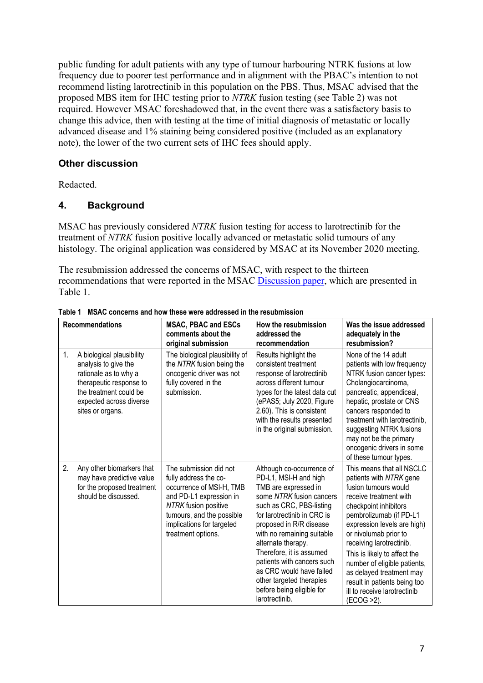public funding for adult patients with any type of tumour harbouring NTRK fusions at low frequency due to poorer test performance and in alignment with the PBAC's intention to not recommend listing larotrectinib in this population on the PBS. Thus, MSAC advised that the proposed MBS item for IHC testing prior to *NTRK* fusion testing (see Table 2) was not required. However MSAC foreshadowed that, in the event there was a satisfactory basis to change this advice, then with testing at the time of initial diagnosis of metastatic or locally advanced disease and 1% staining being considered positive (included as an explanatory note), the lower of the two current sets of IHC fees should apply.

# **Other discussion**

Redacted.

# **4. Background**

MSAC has previously considered *NTRK* fusion testing for access to larotrectinib for the treatment of *NTRK* fusion positive locally advanced or metastatic solid tumours of any histology. The original application was considered by MSAC at its November 2020 meeting.

The resubmission addressed the concerns of MSAC, with respect to the thirteen recommendations that were reported in the MSAC [Discussion paper,](http://www.msac.gov.au/internet/msac/publishing.nsf/Content/Additional-Resources) which are presented in Table 1.

| <b>Recommendations</b> |                                                                                                                                                                                | <b>MSAC, PBAC and ESCs</b><br>comments about the<br>original submission                                                                                                                                               | How the resubmission<br>addressed the<br>recommendation                                                                                                                                                                                                                                                                                                                                                           | Was the issue addressed<br>adequately in the<br>resubmission?                                                                                                                                                                                                                                                                                                                                                            |  |
|------------------------|--------------------------------------------------------------------------------------------------------------------------------------------------------------------------------|-----------------------------------------------------------------------------------------------------------------------------------------------------------------------------------------------------------------------|-------------------------------------------------------------------------------------------------------------------------------------------------------------------------------------------------------------------------------------------------------------------------------------------------------------------------------------------------------------------------------------------------------------------|--------------------------------------------------------------------------------------------------------------------------------------------------------------------------------------------------------------------------------------------------------------------------------------------------------------------------------------------------------------------------------------------------------------------------|--|
| 1.                     | A biological plausibility<br>analysis to give the<br>rationale as to why a<br>therapeutic response to<br>the treatment could be<br>expected across diverse<br>sites or organs. | The biological plausibility of<br>the NTRK fusion being the<br>oncogenic driver was not<br>fully covered in the<br>submission.                                                                                        | Results highlight the<br>consistent treatment<br>response of larotrectinib<br>across different tumour<br>types for the latest data cut<br>(ePAS5; July 2020, Figure<br>2.60). This is consistent<br>with the results presented<br>in the original submission.                                                                                                                                                     | None of the 14 adult<br>patients with low frequency<br>NTRK fusion cancer types:<br>Cholangiocarcinoma,<br>pancreatic, appendiceal,<br>hepatic, prostate or CNS<br>cancers responded to<br>treatment with larotrectinib,<br>suggesting NTRK fusions<br>may not be the primary<br>oncogenic drivers in some<br>of these tumour types.                                                                                     |  |
| 2.                     | Any other biomarkers that<br>may have predictive value<br>for the proposed treatment<br>should be discussed.                                                                   | The submission did not<br>fully address the co-<br>occurrence of MSI-H, TMB<br>and PD-L1 expression in<br><b>NTRK</b> fusion positive<br>tumours, and the possible<br>implications for targeted<br>treatment options. | Although co-occurrence of<br>PD-L1, MSI-H and high<br>TMB are expressed in<br>some NTRK fusion cancers<br>such as CRC, PBS-listing<br>for larotrectinib in CRC is<br>proposed in R/R disease<br>with no remaining suitable<br>alternate therapy.<br>Therefore, it is assumed<br>patients with cancers such<br>as CRC would have failed<br>other targeted therapies<br>before being eligible for<br>larotrectinib. | This means that all NSCLC<br>patients with NTRK gene<br>fusion tumours would<br>receive treatment with<br>checkpoint inhibitors<br>pembrolizumab (if PD-L1<br>expression levels are high)<br>or nivolumab prior to<br>receiving larotrectinib.<br>This is likely to affect the<br>number of eligible patients,<br>as delayed treatment may<br>result in patients being too<br>ill to receive larotrectinib<br>(ECOG >2). |  |

**Table 1 MSAC concerns and how these were addressed in the resubmission**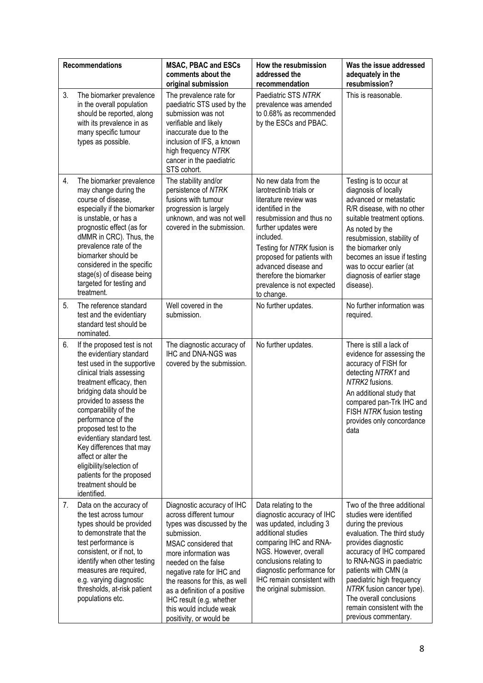|    | <b>Recommendations</b>                                                                                                                                                                                                                                                                                                                                                                                                                                     | <b>MSAC, PBAC and ESCs</b><br>comments about the<br>original submission                                                                                                                                                                                                                                                                                    | How the resubmission<br>addressed the<br>recommendation                                                                                                                                                                                                                                                                   | Was the issue addressed<br>adequately in the<br>resubmission?                                                                                                                                                                                                                                                                                                  |
|----|------------------------------------------------------------------------------------------------------------------------------------------------------------------------------------------------------------------------------------------------------------------------------------------------------------------------------------------------------------------------------------------------------------------------------------------------------------|------------------------------------------------------------------------------------------------------------------------------------------------------------------------------------------------------------------------------------------------------------------------------------------------------------------------------------------------------------|---------------------------------------------------------------------------------------------------------------------------------------------------------------------------------------------------------------------------------------------------------------------------------------------------------------------------|----------------------------------------------------------------------------------------------------------------------------------------------------------------------------------------------------------------------------------------------------------------------------------------------------------------------------------------------------------------|
| 3. | The biomarker prevalence<br>in the overall population<br>should be reported, along<br>with its prevalence in as<br>many specific tumour<br>types as possible.                                                                                                                                                                                                                                                                                              | The prevalence rate for<br>paediatric STS used by the<br>submission was not<br>verifiable and likely<br>inaccurate due to the<br>inclusion of IFS, a known<br>high frequency NTRK<br>cancer in the paediatric<br>STS cohort.                                                                                                                               | Paediatric STS NTRK<br>prevalence was amended<br>to 0.68% as recommended<br>by the ESCs and PBAC.                                                                                                                                                                                                                         | This is reasonable.                                                                                                                                                                                                                                                                                                                                            |
| 4. | The biomarker prevalence<br>may change during the<br>course of disease,<br>especially if the biomarker<br>is unstable, or has a<br>prognostic effect (as for<br>dMMR in CRC). Thus, the<br>prevalence rate of the<br>biomarker should be<br>considered in the specific<br>stage(s) of disease being<br>targeted for testing and<br>treatment.                                                                                                              | The stability and/or<br>persistence of NTRK<br>fusions with tumour<br>progression is largely<br>unknown, and was not well<br>covered in the submission.                                                                                                                                                                                                    | No new data from the<br>larotrectinib trials or<br>literature review was<br>identified in the<br>resubmission and thus no<br>further updates were<br>included.<br>Testing for NTRK fusion is<br>proposed for patients with<br>advanced disease and<br>therefore the biomarker<br>prevalence is not expected<br>to change. | Testing is to occur at<br>diagnosis of locally<br>advanced or metastatic<br>R/R disease, with no other<br>suitable treatment options.<br>As noted by the<br>resubmission, stability of<br>the biomarker only<br>becomes an issue if testing<br>was to occur earlier (at<br>diagnosis of earlier stage<br>disease).                                             |
| 5. | The reference standard<br>test and the evidentiary<br>standard test should be<br>nominated.                                                                                                                                                                                                                                                                                                                                                                | Well covered in the<br>submission.                                                                                                                                                                                                                                                                                                                         | No further updates.                                                                                                                                                                                                                                                                                                       | No further information was<br>required.                                                                                                                                                                                                                                                                                                                        |
| 6. | If the proposed test is not<br>the evidentiary standard<br>test used in the supportive<br>clinical trials assessing<br>treatment efficacy, then<br>bridging data should be<br>provided to assess the<br>comparability of the<br>performance of the<br>proposed test to the<br>evidentiary standard test.<br>Key differences that may<br>affect or alter the<br>eligibility/selection of<br>patients for the proposed<br>treatment should be<br>identified. | The diagnostic accuracy of<br>IHC and DNA-NGS was<br>covered by the submission.                                                                                                                                                                                                                                                                            | No further updates.                                                                                                                                                                                                                                                                                                       | There is still a lack of<br>evidence for assessing the<br>accuracy of FISH for<br>detecting NTRK1 and<br>NTRK2 fusions.<br>An additional study that<br>compared pan-Trk IHC and<br>FISH NTRK fusion testing<br>provides only concordance<br>data                                                                                                               |
| 7. | Data on the accuracy of<br>the test across tumour<br>types should be provided<br>to demonstrate that the<br>test performance is<br>consistent, or if not, to<br>identify when other testing<br>measures are required,<br>e.g. varying diagnostic<br>thresholds, at-risk patient<br>populations etc.                                                                                                                                                        | Diagnostic accuracy of IHC<br>across different tumour<br>types was discussed by the<br>submission.<br>MSAC considered that<br>more information was<br>needed on the false<br>negative rate for IHC and<br>the reasons for this, as well<br>as a definition of a positive<br>IHC result (e.g. whether<br>this would include weak<br>positivity, or would be | Data relating to the<br>diagnostic accuracy of IHC<br>was updated, including 3<br>additional studies<br>comparing IHC and RNA-<br>NGS. However, overall<br>conclusions relating to<br>diagnostic performance for<br>IHC remain consistent with<br>the original submission.                                                | Two of the three additional<br>studies were identified<br>during the previous<br>evaluation. The third study<br>provides diagnostic<br>accuracy of IHC compared<br>to RNA-NGS in paediatric<br>patients with CMN (a<br>paediatric high frequency<br>NTRK fusion cancer type).<br>The overall conclusions<br>remain consistent with the<br>previous commentary. |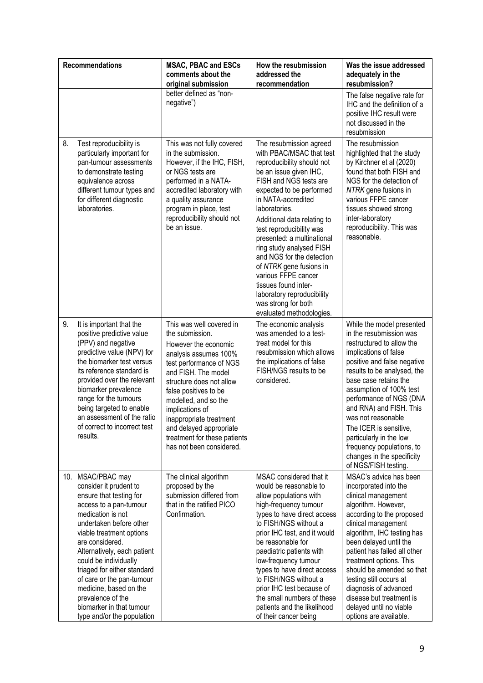|    | <b>Recommendations</b>                                                                                                                                                                                                                                                                                                                                                                                                       | <b>MSAC, PBAC and ESCs</b><br>comments about the<br>original submission                                                                                                                                                                                                                                                                                          | How the resubmission<br>addressed the<br>recommendation                                                                                                                                                                                                                                                                                                                                                                                                                                                               | Was the issue addressed<br>adequately in the<br>resubmission?                                                                                                                                                                                                                                                                                                                                                                                   |
|----|------------------------------------------------------------------------------------------------------------------------------------------------------------------------------------------------------------------------------------------------------------------------------------------------------------------------------------------------------------------------------------------------------------------------------|------------------------------------------------------------------------------------------------------------------------------------------------------------------------------------------------------------------------------------------------------------------------------------------------------------------------------------------------------------------|-----------------------------------------------------------------------------------------------------------------------------------------------------------------------------------------------------------------------------------------------------------------------------------------------------------------------------------------------------------------------------------------------------------------------------------------------------------------------------------------------------------------------|-------------------------------------------------------------------------------------------------------------------------------------------------------------------------------------------------------------------------------------------------------------------------------------------------------------------------------------------------------------------------------------------------------------------------------------------------|
|    |                                                                                                                                                                                                                                                                                                                                                                                                                              | better defined as "non-<br>negative")                                                                                                                                                                                                                                                                                                                            |                                                                                                                                                                                                                                                                                                                                                                                                                                                                                                                       | The false negative rate for<br>IHC and the definition of a<br>positive IHC result were<br>not discussed in the<br>resubmission                                                                                                                                                                                                                                                                                                                  |
| 8. | Test reproducibility is<br>particularly important for<br>pan-tumour assessments<br>to demonstrate testing<br>equivalence across<br>different tumour types and<br>for different diagnostic<br>laboratories.                                                                                                                                                                                                                   | This was not fully covered<br>in the submission.<br>However, if the IHC, FISH,<br>or NGS tests are<br>performed in a NATA-<br>accredited laboratory with<br>a quality assurance<br>program in place, test<br>reproducibility should not<br>be an issue.                                                                                                          | The resubmission agreed<br>with PBAC/MSAC that test<br>reproducibility should not<br>be an issue given IHC,<br>FISH and NGS tests are<br>expected to be performed<br>in NATA-accredited<br>laboratories.<br>Additional data relating to<br>test reproducibility was<br>presented: a multinational<br>ring study analysed FISH<br>and NGS for the detection<br>of NTRK gene fusions in<br>various FFPE cancer<br>tissues found inter-<br>laboratory reproducibility<br>was strong for both<br>evaluated methodologies. | The resubmission<br>highlighted that the study<br>by Kirchner et al (2020)<br>found that both FISH and<br>NGS for the detection of<br>NTRK gene fusions in<br>various FFPE cancer<br>tissues showed strong<br>inter-laboratory<br>reproducibility. This was<br>reasonable.                                                                                                                                                                      |
| 9. | It is important that the<br>positive predictive value<br>(PPV) and negative<br>predictive value (NPV) for<br>the biomarker test versus<br>its reference standard is<br>provided over the relevant<br>biomarker prevalence<br>range for the tumours<br>being targeted to enable<br>an assessment of the ratio<br>of correct to incorrect test<br>results.                                                                     | This was well covered in<br>the submission.<br>However the economic<br>analysis assumes 100%<br>test performance of NGS<br>and FISH. The model<br>structure does not allow<br>false positives to be<br>modelled, and so the<br>implications of<br>inappropriate treatment<br>and delayed appropriate<br>treatment for these patients<br>has not been considered. | The economic analysis<br>was amended to a test-<br>treat model for this<br>resubmission which allows<br>the implications of false<br>FISH/NGS results to be<br>considered.                                                                                                                                                                                                                                                                                                                                            | While the model presented<br>in the resubmission was<br>restructured to allow the<br>implications of false<br>positive and false negative<br>results to be analysed, the<br>base case retains the<br>assumption of 100% test<br>performance of NGS (DNA<br>and RNA) and FISH. This<br>was not reasonable<br>The ICER is sensitive,<br>particularly in the low<br>frequency populations, to<br>changes in the specificity<br>of NGS/FISH testing |
|    | 10. MSAC/PBAC may<br>consider it prudent to<br>ensure that testing for<br>access to a pan-tumour<br>medication is not<br>undertaken before other<br>viable treatment options<br>are considered.<br>Alternatively, each patient<br>could be individually<br>triaged for either standard<br>of care or the pan-tumour<br>medicine, based on the<br>prevalence of the<br>biomarker in that tumour<br>type and/or the population | The clinical algorithm<br>proposed by the<br>submission differed from<br>that in the ratified PICO<br>Confirmation.                                                                                                                                                                                                                                              | MSAC considered that it<br>would be reasonable to<br>allow populations with<br>high-frequency tumour<br>types to have direct access<br>to FISH/NGS without a<br>prior IHC test, and it would<br>be reasonable for<br>paediatric patients with<br>low-frequency tumour<br>types to have direct access<br>to FISH/NGS without a<br>prior IHC test because of<br>the small numbers of these<br>patients and the likelihood<br>of their cancer being                                                                      | MSAC's advice has been<br>incorporated into the<br>clinical management<br>algorithm. However,<br>according to the proposed<br>clinical management<br>algorithm, IHC testing has<br>been delayed until the<br>patient has failed all other<br>treatment options. This<br>should be amended so that<br>testing still occurs at<br>diagnosis of advanced<br>disease but treatment is<br>delayed until no viable<br>options are available.          |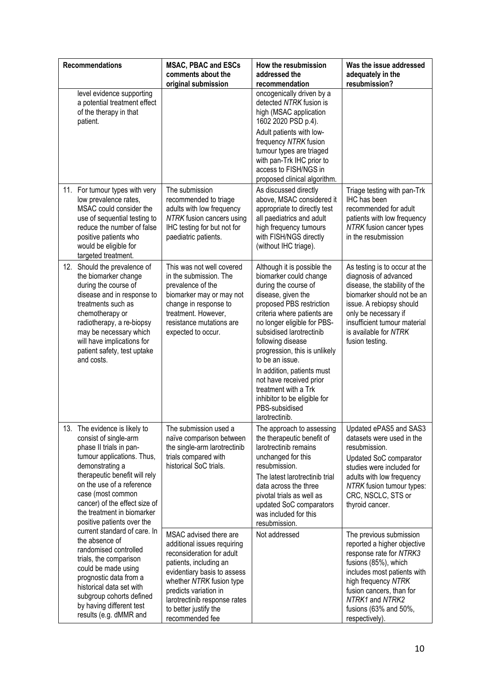| <b>Recommendations</b>                                                                                                                                                                                                                                                                                             | <b>MSAC, PBAC and ESCs</b><br>comments about the<br>original submission                                                                                                                                                                                                      | How the resubmission<br>addressed the<br>recommendation                                                                                                                                                                                                                                                                                                                                                                                                 | Was the issue addressed<br>adequately in the<br>resubmission?                                                                                                                                                                                             |
|--------------------------------------------------------------------------------------------------------------------------------------------------------------------------------------------------------------------------------------------------------------------------------------------------------------------|------------------------------------------------------------------------------------------------------------------------------------------------------------------------------------------------------------------------------------------------------------------------------|---------------------------------------------------------------------------------------------------------------------------------------------------------------------------------------------------------------------------------------------------------------------------------------------------------------------------------------------------------------------------------------------------------------------------------------------------------|-----------------------------------------------------------------------------------------------------------------------------------------------------------------------------------------------------------------------------------------------------------|
| level evidence supporting<br>a potential treatment effect<br>of the therapy in that<br>patient.                                                                                                                                                                                                                    |                                                                                                                                                                                                                                                                              | oncogenically driven by a<br>detected NTRK fusion is<br>high (MSAC application<br>1602 2020 PSD p.4).<br>Adult patients with low-<br>frequency NTRK fusion<br>tumour types are triaged<br>with pan-Trk IHC prior to<br>access to FISH/NGS in<br>proposed clinical algorithm.                                                                                                                                                                            |                                                                                                                                                                                                                                                           |
| 11. For tumour types with very<br>low prevalence rates,<br>MSAC could consider the<br>use of sequential testing to<br>reduce the number of false<br>positive patients who<br>would be eligible for<br>targeted treatment.                                                                                          | The submission<br>recommended to triage<br>adults with low frequency<br>NTRK fusion cancers using<br>IHC testing for but not for<br>paediatric patients.                                                                                                                     | As discussed directly<br>above, MSAC considered it<br>appropriate to directly test<br>all paediatrics and adult<br>high frequency tumours<br>with FISH/NGS directly<br>(without IHC triage).                                                                                                                                                                                                                                                            | Triage testing with pan-Trk<br>IHC has been<br>recommended for adult<br>patients with low frequency<br>NTRK fusion cancer types<br>in the resubmission                                                                                                    |
| 12. Should the prevalence of<br>the biomarker change<br>during the course of<br>disease and in response to<br>treatments such as<br>chemotherapy or<br>radiotherapy, a re-biopsy<br>may be necessary which<br>will have implications for<br>patient safety, test uptake<br>and costs.                              | This was not well covered<br>in the submission. The<br>prevalence of the<br>biomarker may or may not<br>change in response to<br>treatment. However,<br>resistance mutations are<br>expected to occur.                                                                       | Although it is possible the<br>biomarker could change<br>during the course of<br>disease, given the<br>proposed PBS restriction<br>criteria where patients are<br>no longer eligible for PBS-<br>subsidised larotrectinib<br>following disease<br>progression, this is unlikely<br>to be an issue.<br>In addition, patients must<br>not have received prior<br>treatment with a Trk<br>inhibitor to be eligible for<br>PBS-subsidised<br>larotrectinib. | As testing is to occur at the<br>diagnosis of advanced<br>disease, the stability of the<br>biomarker should not be an<br>issue. A rebiopsy should<br>only be necessary if<br>insufficient tumour material<br>is available for NTRK<br>fusion testing.     |
| 13. The evidence is likely to<br>consist of single-arm<br>phase II trials in pan-<br>tumour applications. Thus,<br>demonstrating a<br>therapeutic benefit will rely<br>on the use of a reference<br>case (most common<br>cancer) of the effect size of<br>the treatment in biomarker<br>positive patients over the | The submission used a<br>naïve comparison between<br>the single-arm larotrectinib<br>trials compared with<br>historical SoC trials.                                                                                                                                          | The approach to assessing<br>the therapeutic benefit of<br>larotrectinib remains<br>unchanged for this<br>resubmission.<br>The latest larotrectinib trial<br>data across the three<br>pivotal trials as well as<br>updated SoC comparators<br>was included for this<br>resubmission.                                                                                                                                                                    | Updated ePAS5 and SAS3<br>datasets were used in the<br>resubmission.<br>Updated SoC comparator<br>studies were included for<br>adults with low frequency<br>NTRK fusion tumour types:<br>CRC, NSCLC, STS or<br>thyroid cancer.                            |
| current standard of care. In<br>the absence of<br>randomised controlled<br>trials, the comparison<br>could be made using<br>prognostic data from a<br>historical data set with<br>subgroup cohorts defined<br>by having different test<br>results (e.g. dMMR and                                                   | MSAC advised there are<br>additional issues requiring<br>reconsideration for adult<br>patients, including an<br>evidentiary basis to assess<br>whether NTRK fusion type<br>predicts variation in<br>larotrectinib response rates<br>to better justify the<br>recommended fee | Not addressed                                                                                                                                                                                                                                                                                                                                                                                                                                           | The previous submission<br>reported a higher objective<br>response rate for NTRK3<br>fusions (85%), which<br>includes most patients with<br>high frequency NTRK<br>fusion cancers, than for<br>NTRK1 and NTRK2<br>fusions (63% and 50%,<br>respectively). |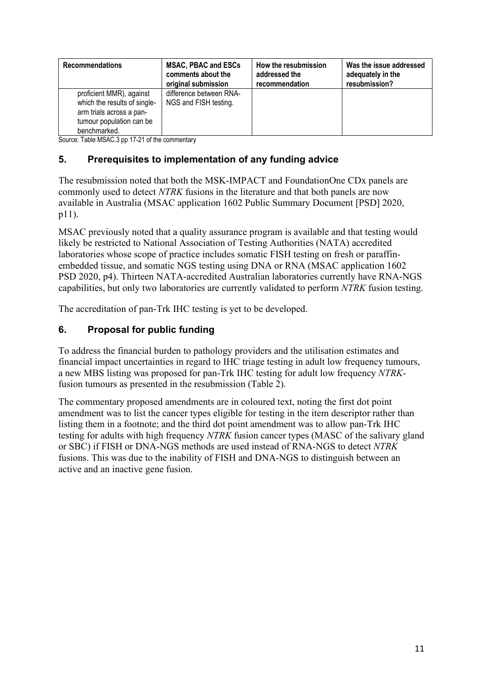| <b>Recommendations</b>                                                                                                           | <b>MSAC, PBAC and ESCs</b>                       | How the resubmission | Was the issue addressed |
|----------------------------------------------------------------------------------------------------------------------------------|--------------------------------------------------|----------------------|-------------------------|
|                                                                                                                                  | comments about the                               | addressed the        | adequately in the       |
|                                                                                                                                  | original submission                              | recommendation       | resubmission?           |
| proficient MMR), against<br>which the results of single-<br>arm trials across a pan-<br>tumour population can be<br>benchmarked. | difference between RNA-<br>NGS and FISH testing. |                      |                         |

Source: Table MSAC.3 pp 17-21 of the commentary

# **5. Prerequisites to implementation of any funding advice**

The resubmission noted that both the MSK-IMPACT and FoundationOne CDx panels are commonly used to detect *NTRK* fusions in the literature and that both panels are now available in Australia (MSAC application 1602 Public Summary Document [PSD] 2020, p11).

MSAC previously noted that a quality assurance program is available and that testing would likely be restricted to National Association of Testing Authorities (NATA) accredited laboratories whose scope of practice includes somatic FISH testing on fresh or paraffinembedded tissue, and somatic NGS testing using DNA or RNA (MSAC application 1602 PSD 2020, p4). Thirteen NATA-accredited Australian laboratories currently have RNA-NGS capabilities, but only two laboratories are currently validated to perform *NTRK* fusion testing.

The accreditation of pan-Trk IHC testing is yet to be developed.

# **6. Proposal for public funding**

To address the financial burden to pathology providers and the utilisation estimates and financial impact uncertainties in regard to IHC triage testing in adult low frequency tumours, a new MBS listing was proposed for pan-Trk IHC testing for adult low frequency *NTRK*fusion tumours as presented in the resubmission (Table 2).

The commentary proposed amendments are in coloured text, noting the first dot point amendment was to list the cancer types eligible for testing in the item descriptor rather than listing them in a footnote; and the third dot point amendment was to allow pan-Trk IHC testing for adults with high frequency *NTRK* fusion cancer types (MASC of the salivary gland or SBC) if FISH or DNA-NGS methods are used instead of RNA-NGS to detect *NTRK* fusions. This was due to the inability of FISH and DNA-NGS to distinguish between an active and an inactive gene fusion.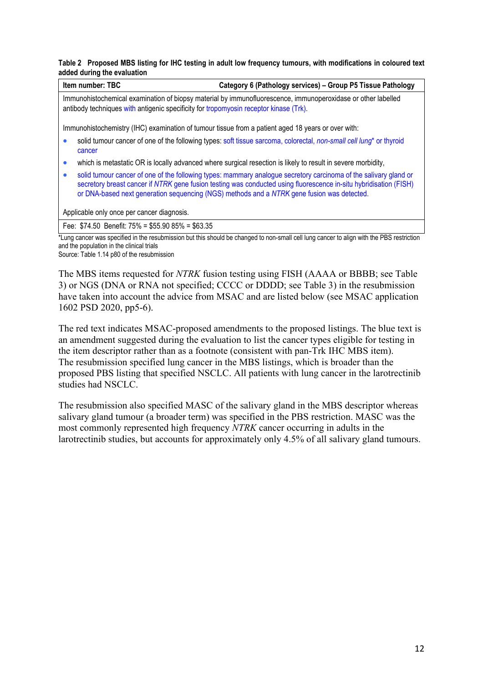#### **Table 2 Proposed MBS listing for IHC testing in adult low frequency tumours, with modifications in coloured text added during the evaluation**

| Item number: TBC                                                                                                                                                                                      | Category 6 (Pathology services) - Group P5 Tissue Pathology                                                                                                                                                                                                                                                                         |  |  |  |
|-------------------------------------------------------------------------------------------------------------------------------------------------------------------------------------------------------|-------------------------------------------------------------------------------------------------------------------------------------------------------------------------------------------------------------------------------------------------------------------------------------------------------------------------------------|--|--|--|
| Immunohistochemical examination of biopsy material by immunofluorescence, immunoperoxidase or other labelled<br>antibody techniques with antigenic specificity for tropomyosin receptor kinase (Trk). |                                                                                                                                                                                                                                                                                                                                     |  |  |  |
|                                                                                                                                                                                                       | Immunohistochemistry (IHC) examination of tumour tissue from a patient aged 18 years or over with:                                                                                                                                                                                                                                  |  |  |  |
| cancer                                                                                                                                                                                                | solid tumour cancer of one of the following types: soft tissue sarcoma, colorectal, non-small cell lung <sup>*</sup> or thyroid                                                                                                                                                                                                     |  |  |  |
| $\bullet$                                                                                                                                                                                             | which is metastatic OR is locally advanced where surgical resection is likely to result in severe morbidity,                                                                                                                                                                                                                        |  |  |  |
| $\bullet$                                                                                                                                                                                             | solid tumour cancer of one of the following types: mammary analogue secretory carcinoma of the salivary gland or<br>secretory breast cancer if NTRK gene fusion testing was conducted using fluorescence in-situ hybridisation (FISH)<br>or DNA-based next generation sequencing (NGS) methods and a NTRK gene fusion was detected. |  |  |  |
| Applicable only once per cancer diagnosis.                                                                                                                                                            |                                                                                                                                                                                                                                                                                                                                     |  |  |  |
| Fee: $$74.50$ Benefit: $75\% = $55.90 85\% = $63.35$                                                                                                                                                  |                                                                                                                                                                                                                                                                                                                                     |  |  |  |

\*Lung cancer was specified in the resubmission but this should be changed to non-small cell lung cancer to align with the PBS restriction and the population in the clinical trials Source: Table 1.14 p80 of the resubmission

The MBS items requested for *NTRK* fusion testing using FISH (AAAA or BBBB; see Table 3) or NGS (DNA or RNA not specified; CCCC or DDDD; see Table 3) in the resubmission have taken into account the advice from MSAC and are listed below (see MSAC application 1602 PSD 2020, pp5-6).

The red text indicates MSAC-proposed amendments to the proposed listings. The blue text is an amendment suggested during the evaluation to list the cancer types eligible for testing in the item descriptor rather than as a footnote (consistent with pan-Trk IHC MBS item). The resubmission specified lung cancer in the MBS listings, which is broader than the proposed PBS listing that specified NSCLC. All patients with lung cancer in the larotrectinib studies had NSCLC.

The resubmission also specified MASC of the salivary gland in the MBS descriptor whereas salivary gland tumour (a broader term) was specified in the PBS restriction. MASC was the most commonly represented high frequency *NTRK* cancer occurring in adults in the larotrectinib studies, but accounts for approximately only 4.5% of all salivary gland tumours.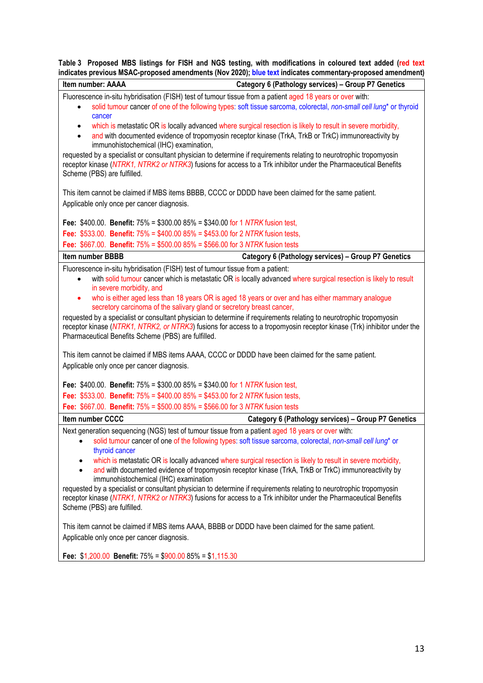**Table 3 Proposed MBS listings for FISH and NGS testing, with modifications in coloured text added (red text indicates previous MSAC-proposed amendments (Nov 2020); blue text indicates commentary-proposed amendment)**

| Item number: AAAA                                          | Category 6 (Pathology services) - Group P7 Genetics                                                                                                                                                                                    |
|------------------------------------------------------------|----------------------------------------------------------------------------------------------------------------------------------------------------------------------------------------------------------------------------------------|
|                                                            | Fluorescence in-situ hybridisation (FISH) test of tumour tissue from a patient aged 18 years or over with:                                                                                                                             |
| $\bullet$<br>cancer                                        | solid tumour cancer of one of the following types: soft tissue sarcoma, colorectal, non-small cell lung* or thyroid                                                                                                                    |
| $\bullet$                                                  | which is metastatic OR is locally advanced where surgical resection is likely to result in severe morbidity,                                                                                                                           |
| $\bullet$<br>immunohistochemical (IHC) examination,        | and with documented evidence of tropomyosin receptor kinase (TrkA, TrkB or TrkC) immunoreactivity by                                                                                                                                   |
| Scheme (PBS) are fulfilled.                                | requested by a specialist or consultant physician to determine if requirements relating to neurotrophic tropomyosin<br>receptor kinase (NTRK1, NTRK2 or NTRK3) fusions for access to a Trk inhibitor under the Pharmaceutical Benefits |
|                                                            | This item cannot be claimed if MBS items BBBB, CCCC or DDDD have been claimed for the same patient.                                                                                                                                    |
| Applicable only once per cancer diagnosis.                 |                                                                                                                                                                                                                                        |
|                                                            | Fee: \$400.00. Benefit: $75\% = $300.0085\% = $340.00$ for 1 NTRK fusion test,                                                                                                                                                         |
|                                                            | Fee: \$533.00. Benefit: $75\% = $400.0085\% = $453.00$ for 2 NTRK fusion tests,                                                                                                                                                        |
|                                                            | Fee: \$667.00. Benefit: 75% = \$500.00 85% = \$566.00 for 3 NTRK fusion tests                                                                                                                                                          |
| Item number BBBB                                           | Category 6 (Pathology services) - Group P7 Genetics                                                                                                                                                                                    |
|                                                            | Fluorescence in-situ hybridisation (FISH) test of tumour tissue from a patient:                                                                                                                                                        |
| $\bullet$<br>in severe morbidity, and                      | with solid tumour cancer which is metastatic OR is locally advanced where surgical resection is likely to result                                                                                                                       |
| $\bullet$                                                  | who is either aged less than 18 years OR is aged 18 years or over and has either mammary analogue<br>secretory carcinoma of the salivary gland or secretory breast cancer,                                                             |
|                                                            | requested by a specialist or consultant physician to determine if requirements relating to neurotrophic tropomyosin                                                                                                                    |
| Pharmaceutical Benefits Scheme (PBS) are fulfilled.        | receptor kinase (NTRK1, NTRK2, or NTRK3) fusions for access to a tropomyosin receptor kinase (Trk) inhibitor under the                                                                                                                 |
|                                                            | This item cannot be claimed if MBS items AAAA, CCCC or DDDD have been claimed for the same patient.                                                                                                                                    |
| Applicable only once per cancer diagnosis.                 |                                                                                                                                                                                                                                        |
|                                                            | Fee: \$400.00. Benefit: $75\% = $300.0085\% = $340.00$ for 1 NTRK fusion test,                                                                                                                                                         |
|                                                            | Fee: \$533.00. Benefit: $75\% = $400.0085\% = $453.00$ for 2 NTRK fusion tests,                                                                                                                                                        |
|                                                            | Fee: \$667.00. Benefit: 75% = \$500.00 85% = \$566.00 for 3 NTRK fusion tests                                                                                                                                                          |
| <b>Item number CCCC</b>                                    | Category 6 (Pathology services) - Group P7 Genetics                                                                                                                                                                                    |
|                                                            | Next generation sequencing (NGS) test of tumour tissue from a patient aged 18 years or over with:                                                                                                                                      |
| $\bullet$<br>thyroid cancer                                | solid tumour cancer of one of the following types: soft tissue sarcoma, colorectal, non-small cell lung* or                                                                                                                            |
| ٠                                                          | which is metastatic OR is locally advanced where surgical resection is likely to result in severe morbidity,                                                                                                                           |
| immunohistochemical (IHC) examination                      | and with documented evidence of tropomyosin receptor kinase (TrkA, TrkB or TrkC) immunoreactivity by                                                                                                                                   |
|                                                            | requested by a specialist or consultant physician to determine if requirements relating to neurotrophic tropomyosin                                                                                                                    |
| Scheme (PBS) are fulfilled.                                | receptor kinase (NTRK1, NTRK2 or NTRK3) fusions for access to a Trk inhibitor under the Pharmaceutical Benefits                                                                                                                        |
|                                                            | This item cannot be claimed if MBS items AAAA, BBBB or DDDD have been claimed for the same patient.                                                                                                                                    |
| Applicable only once per cancer diagnosis.                 |                                                                                                                                                                                                                                        |
| Fee: $$1,200.00$ Benefit: $75\% = $900.0085\% = $1,115.30$ |                                                                                                                                                                                                                                        |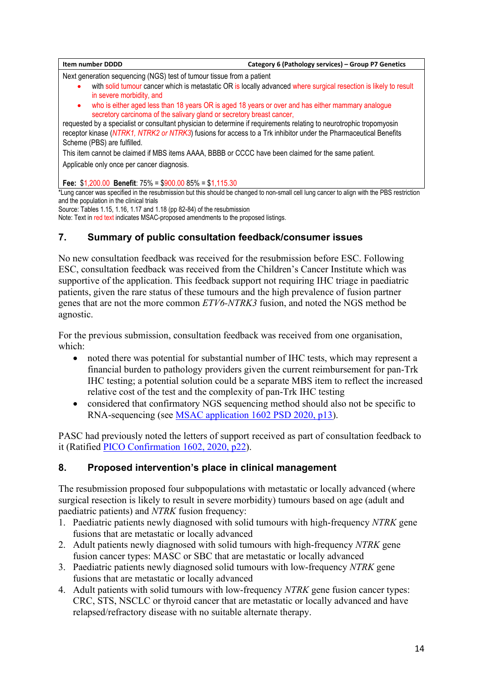| <b>Item number DDDD</b>                                                                                                                                                                                                                                                                                                                                                                                                                                                                                                                 | Category 6 (Pathology services) - Group P7 Genetics |
|-----------------------------------------------------------------------------------------------------------------------------------------------------------------------------------------------------------------------------------------------------------------------------------------------------------------------------------------------------------------------------------------------------------------------------------------------------------------------------------------------------------------------------------------|-----------------------------------------------------|
| Next generation sequencing (NGS) test of tumour tissue from a patient<br>with solid tumour cancer which is metastatic OR is locally advanced where surgical resection is likely to result<br>in severe morbidity, and<br>who is either aged less than 18 years OR is aged 18 years or over and has either mammary analogue<br>$\bullet$<br>secretory carcinoma of the salivary gland or secretory breast cancer,<br>requested by a specialist or consultant physician to determine if requirements relating to neurotrophic tropomyosin |                                                     |
| receptor kinase (NTRK1, NTRK2 or NTRK3) fusions for access to a Trk inhibitor under the Pharmaceutical Benefits<br>Scheme (PBS) are fulfilled.                                                                                                                                                                                                                                                                                                                                                                                          |                                                     |
| This item cannot be claimed if MBS items AAAA, BBBB or CCCC have been claimed for the same patient.<br>Applicable only once per cancer diagnosis.                                                                                                                                                                                                                                                                                                                                                                                       |                                                     |
| Fee: $$1,200.00$ Benefit: $75\% = $900.0085\% = $1,115.30$                                                                                                                                                                                                                                                                                                                                                                                                                                                                              |                                                     |

\*Lung cancer was specified in the resubmission but this should be changed to non-small cell lung cancer to align with the PBS restriction and the population in the clinical trials

Source: Tables 1.15, 1.16, 1.17 and 1.18 (pp 82-84) of the resubmission Note: Text in red text indicates MSAC-proposed amendments to the proposed listings.

# **7. Summary of public consultation feedback/consumer issues**

No new consultation feedback was received for the resubmission before ESC. Following ESC, consultation feedback was received from the Children's Cancer Institute which was supportive of the application. This feedback support not requiring IHC triage in paediatric patients, given the rare status of these tumours and the high prevalence of fusion partner genes that are not the more common *ETV6-NTRK3* fusion, and noted the NGS method be agnostic.

For the previous submission, consultation feedback was received from one organisation, which:

- noted there was potential for substantial number of IHC tests, which may represent a financial burden to pathology providers given the current reimbursement for pan-Trk IHC testing; a potential solution could be a separate MBS item to reflect the increased relative cost of the test and the complexity of pan-Trk IHC testing
- considered that confirmatory NGS sequencing method should also not be specific to RNA-sequencing (see [MSAC application 1602 PSD 2020, p13\)](http://www.msac.gov.au/internet/msac/publishing.nsf/Content/5128EFED7C5AC114CA25848200015CD5/$File/1602%20Final%20PSD_Nov%202020_redacted.docx).

PASC had previously noted the letters of support received as part of consultation feedback to it (Ratified [PICO Confirmation 1602, 2020, p22\)](http://www.msac.gov.au/internet/msac/publishing.nsf/Content/5128EFED7C5AC114CA25848200015CD5/$File/1602%20Ratified%20PICO.docx).

# **8. Proposed intervention's place in clinical management**

The resubmission proposed four subpopulations with metastatic or locally advanced (where surgical resection is likely to result in severe morbidity) tumours based on age (adult and paediatric patients) and *NTRK* fusion frequency:

- 1. Paediatric patients newly diagnosed with solid tumours with high-frequency *NTRK* gene fusions that are metastatic or locally advanced
- 2. Adult patients newly diagnosed with solid tumours with high-frequency *NTRK* gene fusion cancer types: MASC or SBC that are metastatic or locally advanced
- 3. Paediatric patients newly diagnosed solid tumours with low-frequency *NTRK* gene fusions that are metastatic or locally advanced
- 4. Adult patients with solid tumours with low-frequency *NTRK* gene fusion cancer types: CRC, STS, NSCLC or thyroid cancer that are metastatic or locally advanced and have relapsed/refractory disease with no suitable alternate therapy.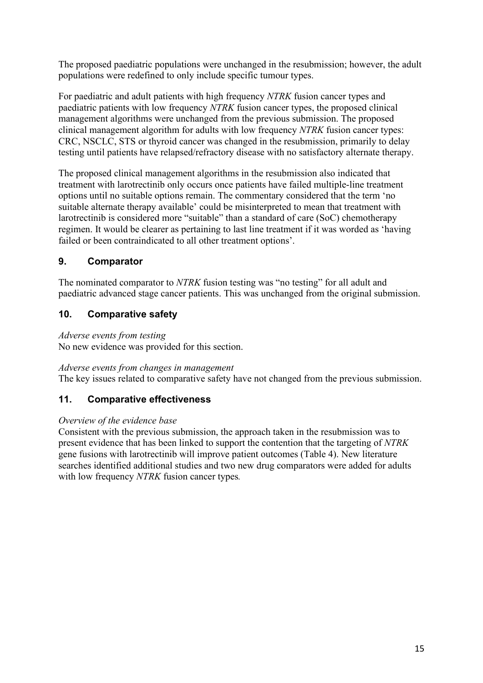The proposed paediatric populations were unchanged in the resubmission; however, the adult populations were redefined to only include specific tumour types.

For paediatric and adult patients with high frequency *NTRK* fusion cancer types and paediatric patients with low frequency *NTRK* fusion cancer types, the proposed clinical management algorithms were unchanged from the previous submission. The proposed clinical management algorithm for adults with low frequency *NTRK* fusion cancer types: CRC, NSCLC, STS or thyroid cancer was changed in the resubmission, primarily to delay testing until patients have relapsed/refractory disease with no satisfactory alternate therapy.

The proposed clinical management algorithms in the resubmission also indicated that treatment with larotrectinib only occurs once patients have failed multiple-line treatment options until no suitable options remain. The commentary considered that the term 'no suitable alternate therapy available' could be misinterpreted to mean that treatment with larotrectinib is considered more "suitable" than a standard of care (SoC) chemotherapy regimen. It would be clearer as pertaining to last line treatment if it was worded as 'having failed or been contraindicated to all other treatment options'.

# **9. Comparator**

The nominated comparator to *NTRK* fusion testing was "no testing" for all adult and paediatric advanced stage cancer patients. This was unchanged from the original submission.

# **10. Comparative safety**

### *Adverse events from testing*

No new evidence was provided for this section.

### *Adverse events from changes in management*

The key issues related to comparative safety have not changed from the previous submission.

### **11. Comparative effectiveness**

### *Overview of the evidence base*

Consistent with the previous submission, the approach taken in the resubmission was to present evidence that has been linked to support the contention that the targeting of *NTRK* gene fusions with larotrectinib will improve patient outcomes (Table 4). New literature searches identified additional studies and two new drug comparators were added for adults with low frequency *NTRK* fusion cancer types*.*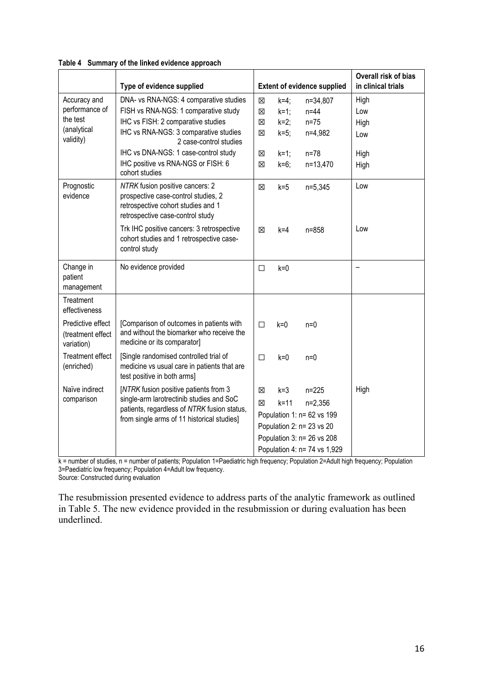|                                                      | Type of evidence supplied                                                                                                                                                      |             |                   | <b>Extent of evidence supplied</b>                                                                                                              | Overall risk of bias<br>in clinical trials |
|------------------------------------------------------|--------------------------------------------------------------------------------------------------------------------------------------------------------------------------------|-------------|-------------------|-------------------------------------------------------------------------------------------------------------------------------------------------|--------------------------------------------|
| Accuracy and                                         | DNA- vs RNA-NGS: 4 comparative studies                                                                                                                                         | $\boxtimes$ | $k=4$ ;           | n=34,807                                                                                                                                        | High                                       |
| performance of                                       | FISH vs RNA-NGS: 1 comparative study                                                                                                                                           | 図           | $k=1$ ;           | $n=44$                                                                                                                                          | Low                                        |
| the test                                             | IHC vs FISH: 2 comparative studies                                                                                                                                             | 図           | $k=2$ ;           | $n=75$                                                                                                                                          | High                                       |
| (analytical<br>validity)                             | IHC vs RNA-NGS: 3 comparative studies<br>2 case-control studies                                                                                                                | $\boxtimes$ | $k=5$ ;           | n=4,982                                                                                                                                         | Low                                        |
|                                                      | IHC vs DNA-NGS: 1 case-control study                                                                                                                                           | X           | $k=1$ ;           | $n = 78$                                                                                                                                        | High                                       |
|                                                      | IHC positive vs RNA-NGS or FISH: 6<br>cohort studies                                                                                                                           | $\boxtimes$ | $k=6$ ;           | n=13,470                                                                                                                                        | High                                       |
| Prognostic<br>evidence                               | NTRK fusion positive cancers: 2<br>prospective case-control studies, 2<br>retrospective cohort studies and 1<br>retrospective case-control study                               | $\boxtimes$ | $k=5$             | n=5,345                                                                                                                                         | Low                                        |
|                                                      | Trk IHC positive cancers: 3 retrospective<br>cohort studies and 1 retrospective case-<br>control study                                                                         | ⊠           | k=4               | $n = 858$                                                                                                                                       | Low                                        |
| Change in<br>patient<br>management                   | No evidence provided                                                                                                                                                           | □           | $k=0$             |                                                                                                                                                 |                                            |
| Treatment<br>effectiveness                           |                                                                                                                                                                                |             |                   |                                                                                                                                                 |                                            |
| Predictive effect<br>(treatment effect<br>variation) | [Comparison of outcomes in patients with<br>and without the biomarker who receive the<br>medicine or its comparator]                                                           | $\Box$      | $k = 0$           | $n=0$                                                                                                                                           |                                            |
| <b>Treatment effect</b><br>(enriched)                | [Single randomised controlled trial of<br>medicine vs usual care in patients that are<br>test positive in both arms]                                                           | $\Box$      | $k=0$             | $n=0$                                                                                                                                           |                                            |
| Naïve indirect<br>comparison                         | [NTRK fusion positive patients from 3<br>single-arm larotrectinib studies and SoC<br>patients, regardless of NTRK fusion status,<br>from single arms of 11 historical studies] | X<br>X      | $k = 3$<br>$k=11$ | $n = 225$<br>$n=2,356$<br>Population 1: n= 62 vs 199<br>Population 2: n= 23 vs 20<br>Population 3: n= 26 vs 208<br>Population 4: n= 74 vs 1,929 | High                                       |

#### **Table 4 Summary of the linked evidence approach**

k = number of studies, n = number of patients; Population 1=Paediatric high frequency; Population 2=Adult high frequency; Population 3=Paediatric low frequency; Population 4=Adult low frequency. Source: Constructed during evaluation

The resubmission presented evidence to address parts of the analytic framework as outlined in [Table 5.](#page-16-0) The new evidence provided in the resubmission or during evaluation has been underlined.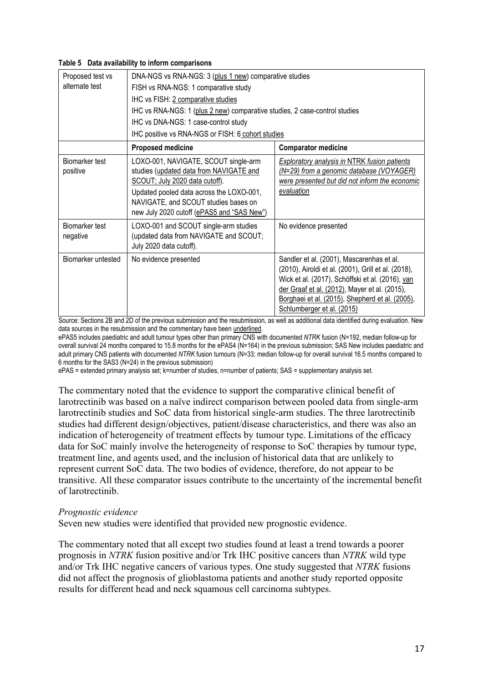#### <span id="page-16-0"></span>**Table 5 Data availability to inform comparisons**

| Proposed test vs           | DNA-NGS vs RNA-NGS: 3 (plus 1 new) comparative studies                                                                                                                                                                                              |                                                                                                                                                                                                                                                                                        |  |
|----------------------------|-----------------------------------------------------------------------------------------------------------------------------------------------------------------------------------------------------------------------------------------------------|----------------------------------------------------------------------------------------------------------------------------------------------------------------------------------------------------------------------------------------------------------------------------------------|--|
| alternate test             | FISH vs RNA-NGS: 1 comparative study                                                                                                                                                                                                                |                                                                                                                                                                                                                                                                                        |  |
|                            | IHC vs FISH: 2 comparative studies                                                                                                                                                                                                                  |                                                                                                                                                                                                                                                                                        |  |
|                            | IHC vs RNA-NGS: 1 (plus 2 new) comparative studies, 2 case-control studies                                                                                                                                                                          |                                                                                                                                                                                                                                                                                        |  |
|                            | IHC vs DNA-NGS: 1 case-control study                                                                                                                                                                                                                |                                                                                                                                                                                                                                                                                        |  |
|                            | IHC positive vs RNA-NGS or FISH: 6 cohort studies                                                                                                                                                                                                   |                                                                                                                                                                                                                                                                                        |  |
|                            | <b>Proposed medicine</b>                                                                                                                                                                                                                            | <b>Comparator medicine</b>                                                                                                                                                                                                                                                             |  |
| Biomarker test<br>positive | LOXO-001, NAVIGATE, SCOUT single-arm<br>studies (updated data from NAVIGATE and<br>SCOUT; July 2020 data cutoff).<br>Updated pooled data across the LOXO-001,<br>NAVIGATE, and SCOUT studies bases on<br>new July 2020 cutoff (ePAS5 and "SAS New") | <b>Exploratory analysis in NTRK fusion patients</b><br>(N=29) from a genomic database (VOYAGER)<br>were presented but did not inform the economic<br>evaluation                                                                                                                        |  |
| Biomarker test<br>negative | LOXO-001 and SCOUT single-arm studies<br>(updated data from NAVIGATE and SCOUT;<br>July 2020 data cutoff).                                                                                                                                          | No evidence presented                                                                                                                                                                                                                                                                  |  |
| Biomarker untested         | No evidence presented                                                                                                                                                                                                                               | Sandler et al. (2001), Mascarenhas et al.<br>(2010), Airoldi et al. (2001), Grill et al. (2018),<br>Wick et al. (2017), Schöffski et al. (2016), van<br>der Graaf et al. (2012), Mayer et al. (2015),<br>Borghaei et al. (2015), Shepherd et al. (2005),<br>Schlumberger et al. (2015) |  |

Source: Sections 2B and 2D of the previous submission and the resubmission, as well as additional data identified during evaluation. New data sources in the resubmission and the commentary have been underlined.

ePAS5 includes paediatric and adult tumour types other than primary CNS with documented *NTRK* fusion (N=192, median follow-up for overall survival 24 months compared to 15.8 months for the ePAS4 (N=164) in the previous submission; SAS New includes paediatric and adult primary CNS patients with documented *NTRK* fusion tumours (N=33; median follow-up for overall survival 16.5 months compared to 6 months for the SAS3 (N=24) in the previous submission)

ePAS = extended primary analysis set; k=number of studies, n=number of patients; SAS = supplementary analysis set.

The commentary noted that the evidence to support the comparative clinical benefit of larotrectinib was based on a naïve indirect comparison between pooled data from single-arm larotrectinib studies and SoC data from historical single-arm studies. The three larotrectinib studies had different design/objectives, patient/disease characteristics, and there was also an indication of heterogeneity of treatment effects by tumour type. Limitations of the efficacy data for SoC mainly involve the heterogeneity of response to SoC therapies by tumour type, treatment line, and agents used, and the inclusion of historical data that are unlikely to represent current SoC data. The two bodies of evidence, therefore, do not appear to be transitive. All these comparator issues contribute to the uncertainty of the incremental benefit of larotrectinib.

#### *Prognostic evidence*

Seven new studies were identified that provided new prognostic evidence.

The commentary noted that all except two studies found at least a trend towards a poorer prognosis in *NTRK* fusion positive and/or Trk IHC positive cancers than *NTRK* wild type and/or Trk IHC negative cancers of various types. One study suggested that *NTRK* fusions did not affect the prognosis of glioblastoma patients and another study reported opposite results for different head and neck squamous cell carcinoma subtypes.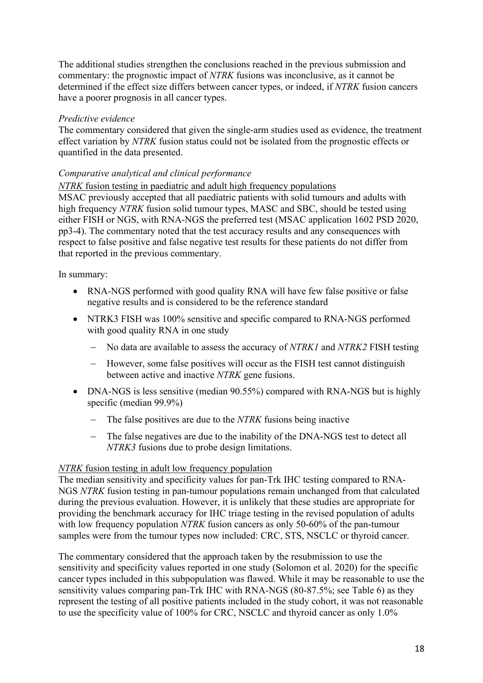The additional studies strengthen the conclusions reached in the previous submission and commentary: the prognostic impact of *NTRK* fusions was inconclusive, as it cannot be determined if the effect size differs between cancer types, or indeed, if *NTRK* fusion cancers have a poorer prognosis in all cancer types.

#### *Predictive evidence*

The commentary considered that given the single-arm studies used as evidence, the treatment effect variation by *NTRK* fusion status could not be isolated from the prognostic effects or quantified in the data presented.

#### *Comparative analytical and clinical performance*

*NTRK* fusion testing in paediatric and adult high frequency populations

MSAC previously accepted that all paediatric patients with solid tumours and adults with high frequency *NTRK* fusion solid tumour types, MASC and SBC, should be tested using either FISH or NGS, with RNA-NGS the preferred test (MSAC application 1602 PSD 2020, pp3-4). The commentary noted that the test accuracy results and any consequences with respect to false positive and false negative test results for these patients do not differ from that reported in the previous commentary.

In summary:

- RNA-NGS performed with good quality RNA will have few false positive or false negative results and is considered to be the reference standard
- NTRK3 FISH was 100% sensitive and specific compared to RNA-NGS performed with good quality RNA in one study
	- − No data are available to assess the accuracy of *NTRK1* and *NTRK2* FISH testing
	- − However, some false positives will occur as the FISH test cannot distinguish between active and inactive *NTRK* gene fusions.
- DNA-NGS is less sensitive (median 90.55%) compared with RNA-NGS but is highly specific (median 99.9%)
	- − The false positives are due to the *NTRK* fusions being inactive
	- − The false negatives are due to the inability of the DNA-NGS test to detect all *NTRK3* fusions due to probe design limitations.

#### *NTRK* fusion testing in adult low frequency population

The median sensitivity and specificity values for pan-Trk IHC testing compared to RNA-NGS *NTRK* fusion testing in pan-tumour populations remain unchanged from that calculated during the previous evaluation. However, it is unlikely that these studies are appropriate for providing the benchmark accuracy for IHC triage testing in the revised population of adults with low frequency population *NTRK* fusion cancers as only 50-60% of the pan-tumour samples were from the tumour types now included: CRC, STS, NSCLC or thyroid cancer.

The commentary considered that the approach taken by the resubmission to use the sensitivity and specificity values reported in one study (Solomon et al. 2020) for the specific cancer types included in this subpopulation was flawed. While it may be reasonable to use the sensitivity values comparing pan-Trk IHC with RNA-NGS (80-87.5%; see Table 6) as they represent the testing of all positive patients included in the study cohort, it was not reasonable to use the specificity value of 100% for CRC, NSCLC and thyroid cancer as only 1.0%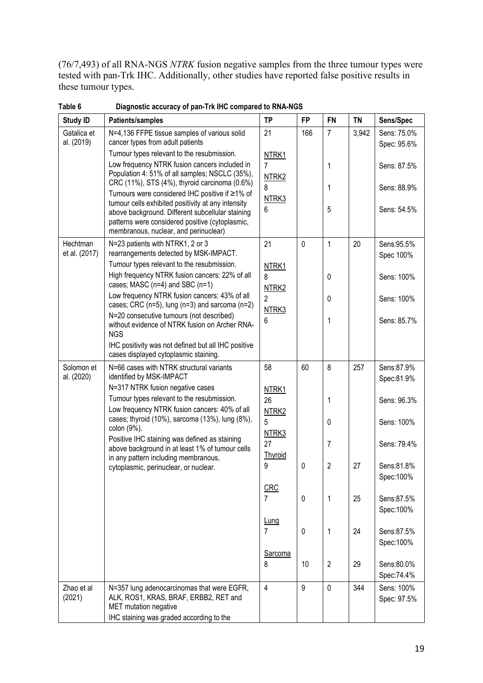(76/7,493) of all RNA-NGS *NTRK* fusion negative samples from the three tumour types were tested with pan-Trk IHC. Additionally, other studies have reported false positive results in these tumour types.

| <b>Study ID</b>           | Patients/samples                                                                                                                                                                                   | <b>TP</b>                           | <b>FP</b> | FN             | <b>TN</b> | Sens/Spec                  |
|---------------------------|----------------------------------------------------------------------------------------------------------------------------------------------------------------------------------------------------|-------------------------------------|-----------|----------------|-----------|----------------------------|
| Gatalica et<br>al. (2019) | N=4,136 FFPE tissue samples of various solid<br>cancer types from adult patients                                                                                                                   | 21                                  | 166       | $\overline{7}$ | 3,942     | Sens: 75.0%<br>Spec: 95.6% |
|                           | Tumour types relevant to the resubmission.<br>Low frequency NTRK fusion cancers included in<br>Population 4: 51% of all samples; NSCLC (35%),                                                      | NTRK <sub>1</sub><br>$\overline{7}$ |           | 1              |           | Sens: 87.5%                |
|                           | CRC (11%), STS (4%), thyroid carcinoma (0.6%)<br>Tumours were considered IHC positive if ≥1% of                                                                                                    | NTRK <sub>2</sub><br>8<br>NTRK3     |           | 1              |           | Sens: 88.9%                |
|                           | tumour cells exhibited positivity at any intensity<br>above background. Different subcellular staining<br>patterns were considered positive (cytoplasmic,<br>membranous, nuclear, and perinuclear) | 6                                   |           | 5              |           | Sens: 54.5%                |
| Hechtman<br>et al. (2017) | N=23 patients with NTRK1, 2 or 3<br>rearrangements detected by MSK-IMPACT.<br>Tumour types relevant to the resubmission.                                                                           | 21<br>NTRK1                         | $\pmb{0}$ | 1              | 20        | Sens: 95.5%<br>Spec 100%   |
|                           | High frequency NTRK fusion cancers: 22% of all<br>cases; MASC ( $n=4$ ) and SBC ( $n=1$ )                                                                                                          | 8<br>NTRK2                          |           | $\pmb{0}$      |           | Sens: 100%                 |
|                           | Low frequency NTRK fusion cancers: 43% of all<br>cases; CRC ( $n=5$ ), lung ( $n=3$ ) and sarcoma ( $n=2$ )                                                                                        | $\overline{2}$<br>NTRK3             |           | $\mathbf 0$    |           | Sens: 100%                 |
|                           | N=20 consecutive tumours (not described)<br>without evidence of NTRK fusion on Archer RNA-<br><b>NGS</b>                                                                                           | 6                                   |           | 1              |           | Sens: 85.7%                |
|                           | IHC positivity was not defined but all IHC positive<br>cases displayed cytoplasmic staining.                                                                                                       |                                     |           |                |           |                            |
| Solomon et<br>al. (2020)  | N=66 cases with NTRK structural variants<br>identified by MSK-IMPACT                                                                                                                               | 58                                  | 60        | 8              | 257       | Sens:87.9%<br>Spec:81.9%   |
|                           | N=317 NTRK fusion negative cases<br>Tumour types relevant to the resubmission.<br>Low frequency NTRK fusion cancers: 40% of all                                                                    | NTRK1<br>26                         |           | 1              |           | Sens: 96.3%                |
|                           | cases; thyroid (10%), sarcoma (13%), lung (8%),<br>colon (9%).                                                                                                                                     | NTRK2<br>5<br>NTRK3                 |           | $\mathbf 0$    |           | Sens: 100%                 |
|                           | Positive IHC staining was defined as staining<br>above background in at least 1% of tumour cells                                                                                                   | 27<br><b>Thyroid</b>                |           | 7              |           | Sens: 79.4%                |
|                           | in any pattern including membranous,<br>cytoplasmic, perinuclear, or nuclear.                                                                                                                      | 9                                   | 0         | $\overline{c}$ | 27        | Sens:81.8%<br>Spec: 100%   |
|                           |                                                                                                                                                                                                    | <b>CRC</b><br>$\overline{7}$        | $\pmb{0}$ | 1              | 25        | Sens:87.5%<br>Spec: 100%   |
|                           |                                                                                                                                                                                                    | Lung<br>$\overline{7}$              | 0         | 1              | 24        | Sens:87.5%<br>Spec: 100%   |
|                           |                                                                                                                                                                                                    | Sarcoma                             |           |                |           |                            |
|                           |                                                                                                                                                                                                    | 8                                   | 10        | $\overline{2}$ | 29        | Sens:80.0%<br>Spec: 74.4%  |
| Zhao et al<br>(2021)      | N=357 lung adenocarcinomas that were EGFR,<br>ALK, ROS1, KRAS, BRAF, ERBB2, RET and<br>MET mutation negative<br>IHC staining was graded according to the                                           | $\overline{4}$                      | 9         | $\mathbf 0$    | 344       | Sens: 100%<br>Spec: 97.5%  |

**Table 6 Diagnostic accuracy of pan-Trk IHC compared to RNA-NGS**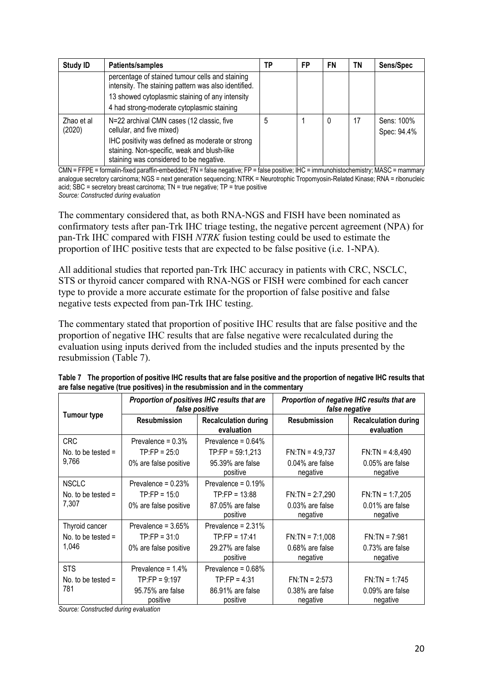| <b>Study ID</b>      | Patients/samples                                                                                                                                                                                                     | ΤP | FP | FN | ΤN | Sens/Spec                 |
|----------------------|----------------------------------------------------------------------------------------------------------------------------------------------------------------------------------------------------------------------|----|----|----|----|---------------------------|
|                      | percentage of stained tumour cells and staining<br>intensity. The staining pattern was also identified.<br>13 showed cytoplasmic staining of any intensity<br>4 had strong-moderate cytoplasmic staining             |    |    |    |    |                           |
| Zhao et al<br>(2020) | N=22 archival CMN cases (12 classic, five<br>cellular, and five mixed)<br>IHC positivity was defined as moderate or strong<br>staining. Non-specific, weak and blush-like<br>staining was considered to be negative. | 5  |    |    |    | Sens: 100%<br>Spec: 94.4% |

CMN = FFPE = formalin-fixed paraffin-embedded; FN = false negative; FP = false positive; IHC = immunohistochemistry; MASC = mammary analogue secretory carcinoma; NGS = next generation sequencing; NTRK = Neurotrophic Tropomyosin-Related Kinase; RNA = ribonucleic acid;  $SBC =$  secretory breast carcinoma;  $TN =$  true negative;  $TP =$  true positive *Source: Constructed during evaluation*

The commentary considered that, as both RNA-NGS and FISH have been nominated as confirmatory tests after pan-Trk IHC triage testing, the negative percent agreement (NPA) for pan-Trk IHC compared with FISH *NTRK* fusion testing could be used to estimate the proportion of IHC positive tests that are expected to be false positive (i.e. 1-NPA).

All additional studies that reported pan-Trk IHC accuracy in patients with CRC, NSCLC, STS or thyroid cancer compared with RNA-NGS or FISH were combined for each cancer type to provide a more accurate estimate for the proportion of false positive and false negative tests expected from pan-Trk IHC testing.

The commentary stated that proportion of positive IHC results that are false positive and the proportion of negative IHC results that are false negative were recalculated during the evaluation using inputs derived from the included studies and the inputs presented by the resubmission (Table 7).

|                      |                              | Proportion of positives IHC results that are<br>false positive | Proportion of negative IHC results that are<br>false negative |                                           |  |
|----------------------|------------------------------|----------------------------------------------------------------|---------------------------------------------------------------|-------------------------------------------|--|
| <b>Tumour type</b>   | <b>Resubmission</b>          | <b>Recalculation during</b><br>evaluation                      | <b>Resubmission</b>                                           | <b>Recalculation during</b><br>evaluation |  |
| <b>CRC</b>           | Prevalence = $0.3\%$         | Prevalence = $0.64\%$                                          |                                                               |                                           |  |
| No. to be tested $=$ | $TP:FP = 25:0$               | $TP:FP = 59:1,213$                                             | $FN:TN = 4:9,737$                                             | $FN:TN = 4:8,490$                         |  |
| 9,766                | 0% are false positive        | 95.39% are false<br>positive                                   | 0.04% are false<br>negative                                   | 0.05% are false<br>negative               |  |
| <b>NSCLC</b>         | Prevalence = $0.23%$         | Prevalence = $0.19\%$                                          |                                                               |                                           |  |
| No, to be tested $=$ | $TP:FP = 15:0$               | $TP:FP = 13:88$                                                | $FN:TN = 2:7,290$                                             | $FN:TN = 1:7,205$                         |  |
| 7,307                | 0% are false positive        | 87.05% are false<br>positive                                   | 0.03% are false<br>negative                                   | 0.01% are false<br>negative               |  |
| Thyroid cancer       | Prevalence = $3.65%$         | Prevalence = 2.31%                                             |                                                               |                                           |  |
| No. to be tested $=$ | $TP:FP = 31:0$               | $TP:FP = 17:41$                                                | $FN:TN = 7:1,008$                                             | $FN:TN = 7:981$                           |  |
| 1,046                | 0% are false positive        | 29.27% are false<br>positive                                   | $0.68\%$ are false<br>negative                                | 0.73% are false<br>negative               |  |
| <b>STS</b>           | Prevalence = $1.4\%$         | Prevalence = $0.68\%$                                          |                                                               |                                           |  |
| No. to be tested $=$ | $TP:FP = 9:197$              | $TP:FP = 4:31$                                                 | $FN:TN = 2:573$                                               | $FN:TN = 1:745$                           |  |
| 781                  | 95.75% are false<br>positive | 86.91% are false<br>positive                                   | 0.38% are false<br>negative                                   | 0.09% are false<br>negative               |  |

| Table 7 The proportion of positive IHC results that are false positive and the proportion of negative IHC results that |
|------------------------------------------------------------------------------------------------------------------------|
| are false negative (true positives) in the resubmission and in the commentary                                          |

*Source: Constructed during evaluation*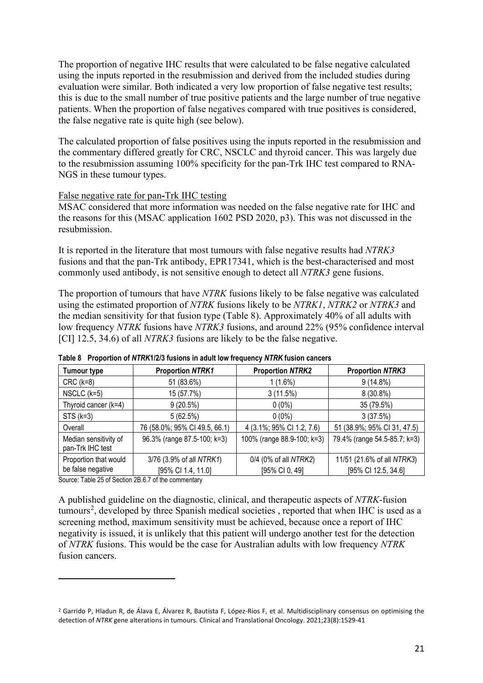The proportion of negative IHC results that were calculated to be false negative calculated using the inputs reported in the resubmission and derived from the included studies during evaluation were similar. Both indicated a very low proportion of false negative test results; this is due to the small number of true positive patients and the large number of true negative patients. When the proportion of false negatives compared with true positives is considered, the false negative rate is quite high (see below).

The calculated proportion of false positives using the inputs reported in the resubmission and the commentary differed greatly for CRC, NSCLC and thyroid cancer. This was largely due to the resubmission assuming 100% specificity for the pan-Trk IHC test compared to RNA-NGS in these tumour types.

#### False negative rate for pan*-*Trk IHC testing

MSAC considered that more information was needed on the false negative rate for IHC and the reasons for this (MSAC application 1602 PSD 2020, p3). This was not discussed in the resubmission.

It is reported in the literature that most tumours with false negative results had *NTRK3*  fusions and that the pan-Trk antibody, EPR17341, which is the best-characterised and most commonly used antibody, is not sensitive enough to detect all *NTRK3* gene fusions.

The proportion of tumours that have *NTRK* fusions likely to be false negative was calculated using the estimated proportion of *NTRK* fusions likely to be *NTRK1*, *NTRK2* or *NTRK3* and the median sensitivity for that fusion type (Table 8). Approximately 40% of all adults with low frequency *NTRK* fusions have *NTRK3* fusions, and around 22% (95% confidence interval [CI] 12.5, 34.6) of all *NTRK3* fusions are likely to be the false negative.

| <b>Tumour type</b>                        | <b>Proportion NTRK1</b>       | <b>Proportion NTRK2</b>    | <b>Proportion NTRK3</b>      |
|-------------------------------------------|-------------------------------|----------------------------|------------------------------|
| $CRC$ ( $k=8$ )                           | 51 (83.6%)                    | $1(1.6\%)$                 | $9(14.8\%)$                  |
| NSCLC $(k=5)$                             | 15 (57.7%)                    | 3(11.5%)                   | $8(30.8\%)$                  |
| Thyroid cancer (k=4)                      | 9(20.5%)                      | $0(0\%)$                   | 35 (79.5%)                   |
| $STS (k=3)$                               | 5(62.5%)                      | $0(0\%)$                   | 3(37.5%)                     |
| Overall                                   | 76 (58.0%; 95% CI 49.5, 66.1) | 4 (3.1%; 95% CI 1.2, 7.6)  | 51 (38.9%; 95% CI 31, 47.5)  |
| Median sensitivity of<br>pan-Trk IHC test | 96.3% (range 87.5-100; k=3)   | 100% (range 88.9-100; k=3) | 79.4% (range 54.5-85.7; k=3) |
| Proportion that would                     | 3/76 (3.9% of all NTRK1)      | 0/4 (0% of all NTRK2)      | 11/51 (21.6% of all NTRK3)   |
| be false negative                         | [95% CI 1.4, 11.0]            | [95% CI 0, 49]             | [95% CI 12.5, 34.6]          |

**Table 8 Proportion of** *NTRK***1/2/3 fusions in adult low frequency** *NTRK* **fusion cancers**

Source: Table 25 of Section 2B.6.7 of the commentary

A published guideline on the diagnostic, clinical, and therapeutic aspects of *NTRK*-fusion tumours<sup>[2](#page-20-0)</sup>, developed by three Spanish medical societies, reported that when IHC is used as a screening method, maximum sensitivity must be achieved, because once a report of IHC negativity is issued, it is unlikely that this patient will undergo another test for the detection of *NTRK* fusions. This would be the case for Australian adults with low frequency *NTRK* fusion cancers.

<span id="page-20-0"></span><sup>&</sup>lt;sup>2</sup> Garrido P, Hladun R, de Álava E, Álvarez R, Bautista F, López-Ríos F, et al. Multidisciplinary consensus on optimising the detection of *NTRK* gene alterations in tumours. Clinical and Translational Oncology. 2021;23(8):1529-41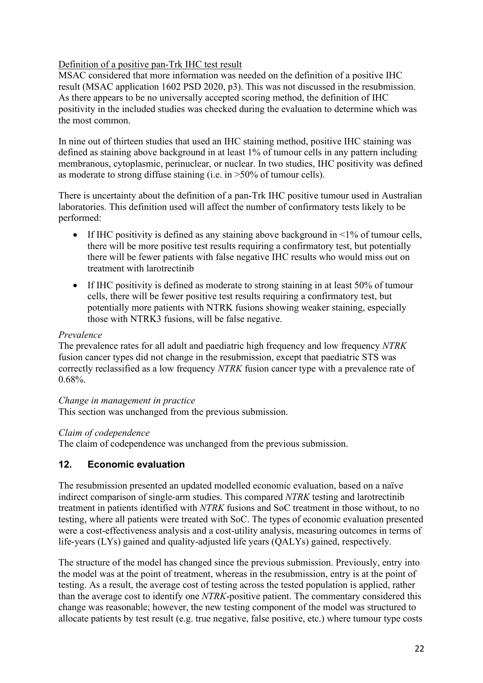## Definition of a positive pan-Trk IHC test result

MSAC considered that more information was needed on the definition of a positive IHC result (MSAC application 1602 PSD 2020, p3). This was not discussed in the resubmission. As there appears to be no universally accepted scoring method, the definition of IHC positivity in the included studies was checked during the evaluation to determine which was the most common.

In nine out of thirteen studies that used an IHC staining method, positive IHC staining was defined as staining above background in at least 1% of tumour cells in any pattern including membranous, cytoplasmic, perinuclear, or nuclear. In two studies, IHC positivity was defined as moderate to strong diffuse staining (i.e. in >50% of tumour cells).

There is uncertainty about the definition of a pan-Trk IHC positive tumour used in Australian laboratories. This definition used will affect the number of confirmatory tests likely to be performed:

- If IHC positivity is defined as any staining above background in  $\leq 1\%$  of tumour cells, there will be more positive test results requiring a confirmatory test, but potentially there will be fewer patients with false negative IHC results who would miss out on treatment with larotrectinib
- If IHC positivity is defined as moderate to strong staining in at least 50% of tumour cells, there will be fewer positive test results requiring a confirmatory test, but potentially more patients with NTRK fusions showing weaker staining, especially those with NTRK3 fusions, will be false negative.

### *Prevalence*

The prevalence rates for all adult and paediatric high frequency and low frequency *NTRK*  fusion cancer types did not change in the resubmission, except that paediatric STS was correctly reclassified as a low frequency *NTRK* fusion cancer type with a prevalence rate of 0.68%.

*Change in management in practice*

This section was unchanged from the previous submission.

### *Claim of codependence*

The claim of codependence was unchanged from the previous submission.

# **12. Economic evaluation**

The resubmission presented an updated modelled economic evaluation, based on a naïve indirect comparison of single-arm studies. This compared *NTRK* testing and larotrectinib treatment in patients identified with *NTRK* fusions and SoC treatment in those without, to no testing, where all patients were treated with SoC. The types of economic evaluation presented were a cost-effectiveness analysis and a cost-utility analysis, measuring outcomes in terms of life-years (LYs) gained and quality-adjusted life years (QALYs) gained, respectively.

The structure of the model has changed since the previous submission. Previously, entry into the model was at the point of treatment, whereas in the resubmission, entry is at the point of testing. As a result, the average cost of testing across the tested population is applied, rather than the average cost to identify one *NTRK*-positive patient. The commentary considered this change was reasonable; however, the new testing component of the model was structured to allocate patients by test result (e.g. true negative, false positive, etc.) where tumour type costs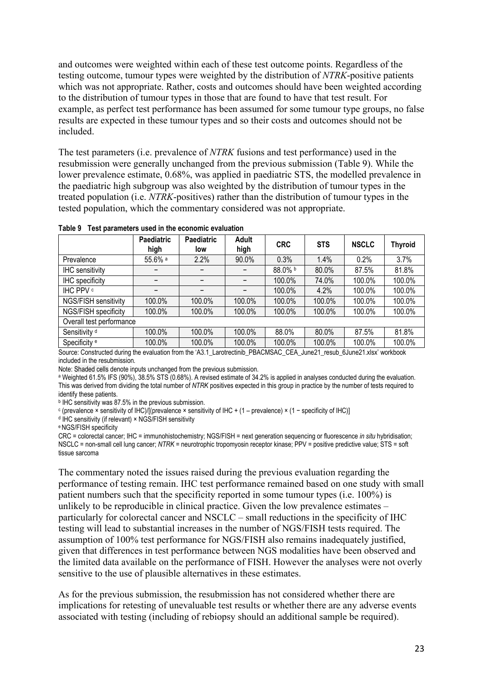and outcomes were weighted within each of these test outcome points. Regardless of the testing outcome, tumour types were weighted by the distribution of *NTRK*-positive patients which was not appropriate. Rather, costs and outcomes should have been weighted according to the distribution of tumour types in those that are found to have that test result. For example, as perfect test performance has been assumed for some tumour type groups, no false results are expected in these tumour types and so their costs and outcomes should not be included.

The test parameters (i.e. prevalence of *NTRK* fusions and test performance) used in the resubmission were generally unchanged from the previous submission (Table 9). While the lower prevalence estimate, 0.68%, was applied in paediatric STS, the modelled prevalence in the paediatric high subgroup was also weighted by the distribution of tumour types in the treated population (i.e. *NTRK*-positives) rather than the distribution of tumour types in the tested population, which the commentary considered was not appropriate.

|                          | <b>Paediatric</b><br>high | <b>Paediatric</b><br>low | <b>Adult</b><br>high | <b>CRC</b> | <b>STS</b> | <b>NSCLC</b> | <b>Thyroid</b> |
|--------------------------|---------------------------|--------------------------|----------------------|------------|------------|--------------|----------------|
| Prevalence               | 55.6% a                   | 2.2%                     | 90.0%                | 0.3%       | 1.4%       | 0.2%         | 3.7%           |
| <b>IHC</b> sensitivity   |                           |                          |                      | 88.0% b    | 80.0%      | 87.5%        | 81.8%          |
| IHC specificity          |                           |                          |                      | 100.0%     | 74.0%      | 100.0%       | 100.0%         |
| IHC PPV c                |                           |                          |                      | 100.0%     | 4.2%       | 100.0%       | 100.0%         |
| NGS/FISH sensitivity     | 100.0%                    | 100.0%                   | 100.0%               | 100.0%     | 100.0%     | 100.0%       | 100.0%         |
| NGS/FISH specificity     | 100.0%                    | 100.0%                   | 100.0%               | 100.0%     | 100.0%     | 100.0%       | 100.0%         |
| Overall test performance |                           |                          |                      |            |            |              |                |
| Sensitivity <sup>d</sup> | 100.0%                    | 100.0%                   | 100.0%               | 88.0%      | 80.0%      | 87.5%        | 81.8%          |
| Specificity <sup>e</sup> | 100.0%                    | 100.0%                   | 100.0%               | 100.0%     | 100.0%     | 100.0%       | 100.0%         |

**Table 9 Test parameters used in the economic evaluation**

Source: Constructed during the evaluation from the 'A3.1\_Larotrectinib\_PBACMSAC\_CEA\_June21\_resub\_6June21.xlsx' workbook included in the resubmission*.*

Note: Shaded cells denote inputs unchanged from the previous submission.

<sup>a</sup> Weighted 61.5% IFS (90%), 38.5% STS (0.68%). A revised estimate of 34.2% is applied in analyses conducted during the evaluation. This was derived from dividing the total number of *NTRK* positives expected in this group in practice by the number of tests required to identify these patients.

**b IHC sensitivity was 87.5% in the previous submission.** 

<sup>c</sup> (prevalence × sensitivity of IHC)/[(prevalence × sensitivity of IHC + (1 – prevalence) × (1 − specificity of IHC)]

d IHC sensitivity (if relevant) × NGS/FISH sensitivity

e NGS/FISH specificity

CRC = colorectal cancer; IHC = immunohistochemistry; NGS/FISH = next generation sequencing or fluorescence *in situ* hybridisation; NSCLC = non-small cell lung cancer; *NTRK* = neurotrophic tropomyosin receptor kinase; PPV = positive predictive value; STS = soft tissue sarcoma

The commentary noted the issues raised during the previous evaluation regarding the performance of testing remain. IHC test performance remained based on one study with small patient numbers such that the specificity reported in some tumour types (i.e. 100%) is unlikely to be reproducible in clinical practice. Given the low prevalence estimates – particularly for colorectal cancer and NSCLC – small reductions in the specificity of IHC testing will lead to substantial increases in the number of NGS/FISH tests required. The assumption of 100% test performance for NGS/FISH also remains inadequately justified, given that differences in test performance between NGS modalities have been observed and the limited data available on the performance of FISH. However the analyses were not overly sensitive to the use of plausible alternatives in these estimates.

As for the previous submission, the resubmission has not considered whether there are implications for retesting of unevaluable test results or whether there are any adverse events associated with testing (including of rebiopsy should an additional sample be required).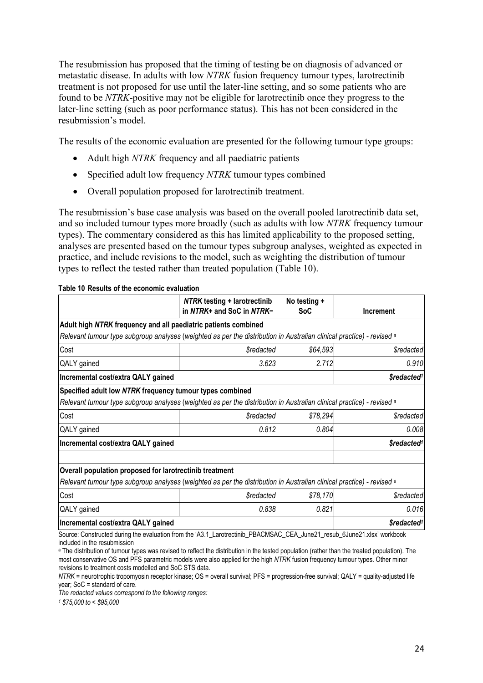The resubmission has proposed that the timing of testing be on diagnosis of advanced or metastatic disease. In adults with low *NTRK* fusion frequency tumour types, larotrectinib treatment is not proposed for use until the later-line setting, and so some patients who are found to be *NTRK*-positive may not be eligible for larotrectinib once they progress to the later-line setting (such as poor performance status). This has not been considered in the resubmission's model.

The results of the economic evaluation are presented for the following tumour type groups:

- Adult high *NTRK* frequency and all paediatric patients
- Specified adult low frequency *NTRK* tumour types combined
- Overall population proposed for larotrectinib treatment.

The resubmission's base case analysis was based on the overall pooled larotrectinib data set, and so included tumour types more broadly (such as adults with low *NTRK* frequency tumour types). The commentary considered as this has limited applicability to the proposed setting, analyses are presented based on the tumour types subgroup analyses, weighted as expected in practice, and include revisions to the model, such as weighting the distribution of tumour types to reflect the tested rather than treated population (Table 10).

|                                                                | <b>NTRK testing + larotrectinib</b>                                                                                              | No testing + |                                |
|----------------------------------------------------------------|----------------------------------------------------------------------------------------------------------------------------------|--------------|--------------------------------|
|                                                                | in NTRK+ and SoC in NTRK-                                                                                                        | SoC          | Increment                      |
| Adult high NTRK frequency and all paediatric patients combined |                                                                                                                                  |              |                                |
|                                                                | Relevant tumour type subgroup analyses (weighted as per the distribution in Australian clinical practice) - revised a            |              |                                |
| Cost                                                           | <i><b>\$redacted</b></i>                                                                                                         | \$64,593     | <i><b>\$redacted</b></i>       |
| QALY gained                                                    | 3.623                                                                                                                            | 2.712        | 0.910                          |
| Incremental cost/extra QALY gained                             |                                                                                                                                  |              | \$redacted <sup>1</sup>        |
| Specified adult low NTRK frequency tumour types combined       |                                                                                                                                  |              |                                |
|                                                                | Relevant tumour type subgroup analyses (weighted as per the distribution in Australian clinical practice) - revised a            |              |                                |
| Cost                                                           | <b><i><u>\$redacted</u></i></b>                                                                                                  | \$78,294     | <b><i><u>Sredacted</u></i></b> |
| QALY gained                                                    | 0.812                                                                                                                            | 0.804        | 0.008                          |
|                                                                |                                                                                                                                  |              | \$redacted <sup>1</sup>        |
|                                                                |                                                                                                                                  |              |                                |
|                                                                |                                                                                                                                  |              |                                |
| Overall population proposed for larotrectinib treatment        |                                                                                                                                  |              |                                |
| Incremental cost/extra QALY gained                             | Relevant tumour type subgroup analyses (weighted as per the distribution in Australian clinical practice) - revised <sup>a</sup> |              |                                |
| Cost                                                           | <b><i><u>\$redacted</u></i></b>                                                                                                  | \$78,170     | <i><b>\$redacted</b></i>       |
| QALY gained                                                    | 0.838                                                                                                                            | 0.821        | 0.016                          |

included in the resubmission <sup>a</sup> The distribution of tumour types was revised to reflect the distribution in the tested population (rather than the treated population). The most conservative OS and PFS parametric models were also applied for the high *NTRK* fusion frequency tumour types. Other minor

revisions to treatment costs modelled and SoC STS data.

*NTRK* = neurotrophic tropomyosin receptor kinase; OS = overall survival; PFS = progression-free survival; QALY = quality-adjusted life year; SoC = standard of care.

*The redacted values correspond to the following ranges:* 

*<sup>1</sup> \$75,000 to < \$95,000*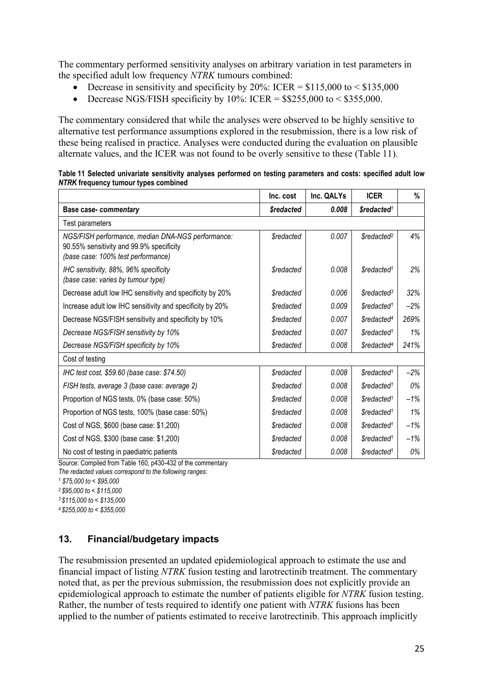The commentary performed sensitivity analyses on arbitrary variation in test parameters in the specified adult low frequency *NTRK* tumours combined:

- Decrease in sensitivity and specificity by 20%: ICER =  $$115,000$  to <  $$135,000$
- Decrease NGS/FISH specificity by 10%: ICER =  $$255,000$  to <  $$355,000$ .

The commentary considered that while the analyses were observed to be highly sensitive to alternative test performance assumptions explored in the resubmission, there is a low risk of these being realised in practice. Analyses were conducted during the evaluation on plausible alternate values, and the ICER was not found to be overly sensitive to these (Table 11).

| Table 11 Selected univariate sensitivity analyses performed on testing parameters and costs: specified adult low |  |  |
|------------------------------------------------------------------------------------------------------------------|--|--|
| NTRK frequency tumour types combined                                                                             |  |  |

|                                                                                                                                     | Inc. cost                      | Inc. QALYs | <b>ICER</b>                   | %     |
|-------------------------------------------------------------------------------------------------------------------------------------|--------------------------------|------------|-------------------------------|-------|
| Base case- commentary                                                                                                               | <i><b>\$redacted</b></i>       | 0.008      | \$redacted <sup>1</sup>       |       |
| <b>Test parameters</b>                                                                                                              |                                |            |                               |       |
| NGS/FISH performance, median DNA-NGS performance:<br>90.55% sensitivity and 99.9% specificity<br>(base case: 100% test performance) | <b><i><u>Sredacted</u></i></b> | 0.007      | \$redacted <sup>2</sup>       | 4%    |
| IHC sensitivity, 88%, 96% specificity<br>(base case: varies by tumour type)                                                         | <b><i><u>Sredacted</u></i></b> | 0.008      | \$redacted <sup>1</sup>       | 2%    |
| Decrease adult low IHC sensitivity and specificity by 20%                                                                           | <b>Sredacted</b>               | 0.006      | <i>Sredacted</i> <sup>3</sup> | 32%   |
| Increase adult low IHC sensitivity and specificity by 20%                                                                           | <b><i><u>Sredacted</u></i></b> | 0.009      | \$redacted <sup>1</sup>       | $-2%$ |
| Decrease NGS/FISH sensitivity and specificity by 10%                                                                                | <b><i><u>Sredacted</u></i></b> | 0.007      | \$redacted <sup>4</sup>       | 269%  |
| Decrease NGS/FISH sensitivity by 10%                                                                                                | <b><i><u>Sredacted</u></i></b> | 0.007      | \$redacted <sup>1</sup>       | 1%    |
| Decrease NGS/FISH specificity by 10%                                                                                                | <b>Sredacted</b>               | 0.008      | \$redacted <sup>4</sup>       | 241%  |
| Cost of testing                                                                                                                     |                                |            |                               |       |
| IHC test cost, \$59.60 (base case: \$74.50)                                                                                         | <b><i><u>Sredacted</u></i></b> | 0.008      | \$redacted <sup>1</sup>       | $-2%$ |
| FISH tests, average 3 (base case: average 2)                                                                                        | <b>Sredacted</b>               | 0.008      | \$redacted <sup>1</sup>       | 0%    |
| Proportion of NGS tests, 0% (base case: 50%)                                                                                        | <b><i><u>Sredacted</u></i></b> | 0.008      | \$redacted <sup>1</sup>       | $-1%$ |
| Proportion of NGS tests, 100% (base case: 50%)                                                                                      | <b><i><u>Sredacted</u></i></b> | 0.008      | \$redacted <sup>1</sup>       | 1%    |
| Cost of NGS, \$600 (base case: \$1,200)                                                                                             | <b><i><u>Sredacted</u></i></b> | 0.008      | \$redacted <sup>1</sup>       | $-1%$ |
| Cost of NGS, \$300 (base case: \$1,200)                                                                                             | <b><i><u>Sredacted</u></i></b> | 0.008      | \$redacted <sup>1</sup>       | $-1%$ |
| No cost of testing in paediatric patients                                                                                           | <b><i><u>Sredacted</u></i></b> | 0.008      | \$redacted <sup>1</sup>       | 0%    |

Source: Compiled from Table 160, p430-432 of the commentary

*The redacted values correspond to the following ranges:*

*<sup>1</sup> \$75,000 to < \$95,000 2 \$95,000 to < \$115,000*

*3 \$115,000 to < \$135,000*

*4 \$255,000 to < \$355,000*

### **13. Financial/budgetary impacts**

The resubmission presented an updated epidemiological approach to estimate the use and financial impact of listing *NTRK* fusion testing and larotrectinib treatment. The commentary noted that, as per the previous submission, the resubmission does not explicitly provide an epidemiological approach to estimate the number of patients eligible for *NTRK* fusion testing. Rather, the number of tests required to identify one patient with *NTRK* fusions has been applied to the number of patients estimated to receive larotrectinib. This approach implicitly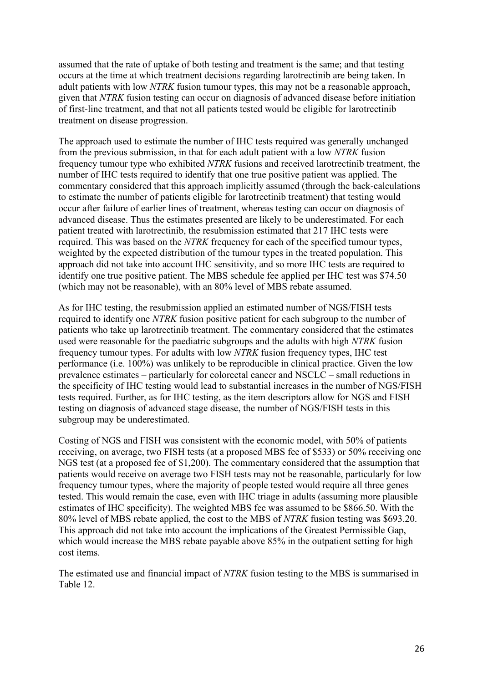assumed that the rate of uptake of both testing and treatment is the same; and that testing occurs at the time at which treatment decisions regarding larotrectinib are being taken. In adult patients with low *NTRK* fusion tumour types, this may not be a reasonable approach, given that *NTRK* fusion testing can occur on diagnosis of advanced disease before initiation of first-line treatment, and that not all patients tested would be eligible for larotrectinib treatment on disease progression.

The approach used to estimate the number of IHC tests required was generally unchanged from the previous submission, in that for each adult patient with a low *NTRK* fusion frequency tumour type who exhibited *NTRK* fusions and received larotrectinib treatment, the number of IHC tests required to identify that one true positive patient was applied. The commentary considered that this approach implicitly assumed (through the back-calculations to estimate the number of patients eligible for larotrectinib treatment) that testing would occur after failure of earlier lines of treatment, whereas testing can occur on diagnosis of advanced disease. Thus the estimates presented are likely to be underestimated. For each patient treated with larotrectinib, the resubmission estimated that 217 IHC tests were required. This was based on the *NTRK* frequency for each of the specified tumour types, weighted by the expected distribution of the tumour types in the treated population. This approach did not take into account IHC sensitivity, and so more IHC tests are required to identify one true positive patient. The MBS schedule fee applied per IHC test was \$74.50 (which may not be reasonable), with an 80% level of MBS rebate assumed.

As for IHC testing, the resubmission applied an estimated number of NGS/FISH tests required to identify one *NTRK* fusion positive patient for each subgroup to the number of patients who take up larotrectinib treatment. The commentary considered that the estimates used were reasonable for the paediatric subgroups and the adults with high *NTRK* fusion frequency tumour types. For adults with low *NTRK* fusion frequency types, IHC test performance (i.e. 100%) was unlikely to be reproducible in clinical practice. Given the low prevalence estimates – particularly for colorectal cancer and NSCLC – small reductions in the specificity of IHC testing would lead to substantial increases in the number of NGS/FISH tests required. Further, as for IHC testing, as the item descriptors allow for NGS and FISH testing on diagnosis of advanced stage disease, the number of NGS/FISH tests in this subgroup may be underestimated.

Costing of NGS and FISH was consistent with the economic model, with 50% of patients receiving, on average, two FISH tests (at a proposed MBS fee of \$533) or 50% receiving one NGS test (at a proposed fee of \$1,200). The commentary considered that the assumption that patients would receive on average two FISH tests may not be reasonable, particularly for low frequency tumour types, where the majority of people tested would require all three genes tested. This would remain the case, even with IHC triage in adults (assuming more plausible estimates of IHC specificity). The weighted MBS fee was assumed to be \$866.50. With the 80% level of MBS rebate applied, the cost to the MBS of *NTRK* fusion testing was \$693.20. This approach did not take into account the implications of the Greatest Permissible Gap, which would increase the MBS rebate payable above 85% in the outpatient setting for high cost items.

The estimated use and financial impact of *NTRK* fusion testing to the MBS is summarised in Table 12.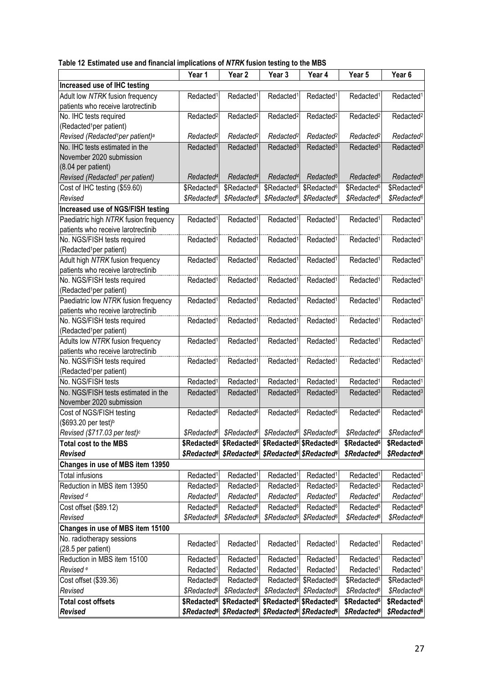|  |  |  |  | Table 12 Estimated use and financial implications of NTRK fusion testing to the MBS |
|--|--|--|--|-------------------------------------------------------------------------------------|
|--|--|--|--|-------------------------------------------------------------------------------------|

|                                                                             | Year 1                  | Year <sub>2</sub>       | Year 3                                                                  | Year 4                                          | Year 5                  | Year <sub>6</sub>       |
|-----------------------------------------------------------------------------|-------------------------|-------------------------|-------------------------------------------------------------------------|-------------------------------------------------|-------------------------|-------------------------|
| Increased use of IHC testing                                                |                         |                         |                                                                         |                                                 |                         |                         |
| Adult low NTRK fusion frequency<br>patients who receive larotrectinib       | Redacted <sup>1</sup>   | Redacted <sup>1</sup>   | Redacted <sup>1</sup>                                                   | Redacted <sup>1</sup>                           | Redacted <sup>1</sup>   | Redacted <sup>1</sup>   |
| No. IHC tests required<br>(Redacted <sup>1</sup> per patient)               | Redacted <sup>2</sup>   | Redacted <sup>2</sup>   | Redacted <sup>2</sup>                                                   | Redacted <sup>2</sup>                           | Redacted <sup>2</sup>   | Redacted <sup>2</sup>   |
| Revised (Redacted <sup>1</sup> per patient) <sup>a</sup>                    | Redacted <sup>2</sup>   | Redacted <sup>2</sup>   | Redacted <sup>2</sup>                                                   | Redacted <sup>2</sup>                           | Redacted <sup>2</sup>   | Redacted <sup>2</sup>   |
| No. IHC tests estimated in the                                              | Redacted <sup>1</sup>   | Redacted <sup>1</sup>   | Redacted <sup>3</sup>                                                   | Redacted <sup>3</sup>                           | Redacted <sup>3</sup>   | Redacted <sup>3</sup>   |
| November 2020 submission<br>(8.04 per patient)                              |                         |                         |                                                                         |                                                 |                         |                         |
| Revised (Redacted <sup>1</sup> per patient)                                 | Redacted <sup>4</sup>   | Redacted <sup>4</sup>   | Redacted <sup>4</sup>                                                   | Redacted <sup>5</sup>                           | Redacted <sup>5</sup>   | Redacted <sup>5</sup>   |
| Cost of IHC testing (\$59.60)                                               | \$Redacted <sup>6</sup> | \$Redacted <sup>6</sup> | \$Redacted <sup>6</sup>                                                 | \$Redacted <sup>6</sup>                         | \$Redacted <sup>6</sup> | \$Redacted <sup>6</sup> |
| Revised                                                                     | \$Redacted <sup>6</sup> | \$Redacted <sup>6</sup> | \$Redacted <sup>6</sup>                                                 | \$Redacted <sup>6</sup>                         | \$Redacted <sup>6</sup> | \$Redacted <sup>6</sup> |
|                                                                             |                         |                         |                                                                         |                                                 |                         |                         |
| <b>Increased use of NGS/FISH testing</b>                                    |                         |                         |                                                                         |                                                 |                         |                         |
| Paediatric high NTRK fusion frequency<br>patients who receive larotrectinib | Redacted <sup>1</sup>   | Redacted <sup>1</sup>   | Redacted <sup>1</sup>                                                   | Redacted <sup>1</sup>                           | Redacted <sup>1</sup>   | Redacted <sup>1</sup>   |
| No. NGS/FISH tests required                                                 | Redacted <sup>1</sup>   | Redacted <sup>1</sup>   | Redacted <sup>1</sup>                                                   | Redacted <sup>1</sup>                           | Redacted <sup>1</sup>   | Redacted <sup>1</sup>   |
| (Redacted <sup>1</sup> per patient)                                         |                         |                         |                                                                         |                                                 |                         |                         |
| Adult high NTRK fusion frequency                                            | Redacted <sup>1</sup>   | Redacted <sup>1</sup>   | Redacted <sup>1</sup>                                                   | Redacted                                        | Redacted <sup>1</sup>   | Redacted <sup>1</sup>   |
| patients who receive larotrectinib                                          |                         |                         |                                                                         |                                                 |                         |                         |
| No. NGS/FISH tests required                                                 | Redacted <sup>1</sup>   | Redacted <sup>1</sup>   | Redacted <sup>1</sup>                                                   | Redacted <sup>®</sup>                           | Redacted <sup>1</sup>   | Redacted <sup>1</sup>   |
| (Redacted <sup>1</sup> per patient)                                         |                         |                         |                                                                         |                                                 |                         |                         |
| Paediatric low NTRK fusion frequency<br>patients who receive larotrectinib  | Redacted <sup>1</sup>   | Redacted <sup>1</sup>   | Redacted <sup>1</sup>                                                   | Redacted <sup>1</sup>                           | Redacted <sup>1</sup>   | Redacted <sup>1</sup>   |
| No. NGS/FISH tests required                                                 | Redacted <sup>1</sup>   | Redacted <sup>1</sup>   | Redacted <sup>1</sup>                                                   | Redacted <sup>®</sup>                           | Redacted <sup>1</sup>   | Redacted <sup>1</sup>   |
| (Redacted <sup>1</sup> per patient)                                         |                         |                         |                                                                         |                                                 |                         |                         |
| Adults low NTRK fusion frequency                                            | Redacted <sup>1</sup>   | Redacted <sup>1</sup>   | Redacted <sup>1</sup>                                                   | Redacted <sup>1</sup>                           | Redacted <sup>1</sup>   | Redacted <sup>1</sup>   |
| patients who receive larotrectinib                                          |                         |                         |                                                                         |                                                 |                         |                         |
| No. NGS/FISH tests required                                                 | Redacted <sup>1</sup>   | Redacted <sup>1</sup>   | Redacted <sup>1</sup>                                                   | Redacted <sup>1</sup>                           | Redacted <sup>1</sup>   | Redacted <sup>1</sup>   |
| (Redacted <sup>1</sup> per patient)                                         |                         |                         |                                                                         |                                                 |                         |                         |
| No. NGS/FISH tests                                                          | Redacted <sup>1</sup>   | Redacted <sup>1</sup>   | Redacted <sup>1</sup>                                                   | Redacted <sup>1</sup>                           | Redacted <sup>1</sup>   | Redacted <sup>1</sup>   |
| No. NGS/FISH tests estimated in the                                         | Redacted <sup>1</sup>   | Redacted <sup>1</sup>   | Redacted <sup>3</sup>                                                   | Redacted <sup>3</sup>                           | Redacted <sup>3</sup>   | Redacted <sup>3</sup>   |
| November 2020 submission                                                    |                         |                         |                                                                         |                                                 |                         |                         |
| Cost of NGS/FISH testing                                                    | Redacted <sup>6</sup>   | Redacted <sup>6</sup>   | Redacted <sup>6</sup>                                                   | Redacted <sup>6</sup>                           | Redacted <sup>6</sup>   | Redacted <sup>6</sup>   |
| (\$693.20 per test) <sup>b</sup>                                            |                         |                         |                                                                         |                                                 |                         |                         |
| Revised (\$717.03 per test) <sup>c</sup>                                    | \$Redacted <sup>6</sup> | \$Redacted <sup>6</sup> |                                                                         | \$Redacted <sup>6</sup> \$Redacted <sup>6</sup> | \$Redacted <sup>6</sup> | \$Redacted <sup>6</sup> |
| <b>Total cost to the MBS</b>                                                | \$Redacted <sup>6</sup> | \$Redacted <sup>6</sup> |                                                                         | \$Redacted <sup>6</sup> \$Redacted <sup>6</sup> | \$Redacted <sup>6</sup> | \$Redacted <sup>6</sup> |
| Revised                                                                     | \$Redacted <sup>6</sup> |                         | \$Redacted <sup>6</sup> \$Redacted <sup>6</sup> \$Redacted <sup>6</sup> |                                                 | \$Redacted <sup>6</sup> | \$Redacted <sup>6</sup> |
| Changes in use of MBS item 13950                                            |                         |                         |                                                                         |                                                 |                         |                         |
| <b>Total infusions</b>                                                      | Redacted <sup>1</sup>   | Redacted <sup>1</sup>   | Redacted <sup>1</sup>                                                   | Redacted <sup>1</sup>                           | Redacted <sup>1</sup>   | Redacted <sup>1</sup>   |
| Reduction in MBS item 13950                                                 | Redacted <sup>3</sup>   | Redacted <sup>3</sup>   | Redacted <sup>3</sup>                                                   | Redacted <sup>3</sup>                           | Redacted <sup>3</sup>   | Redacted <sup>3</sup>   |
| Revised <sup>d</sup>                                                        | Redacted <sup>1</sup>   | Redacted <sup>1</sup>   | Redacted <sup>1</sup>                                                   | Redacted <sup>1</sup>                           | Redacted <sup>1</sup>   | Redacted <sup>1</sup>   |
| Cost offset (\$89.12)                                                       | Redacted <sup>6</sup>   | Redacted <sup>6</sup>   | Redacted <sup>6</sup>                                                   | Redacted <sup>6</sup>                           | Redacted <sup>6</sup>   | Redacted <sup>6</sup>   |
| Revised                                                                     | \$Redacted <sup>6</sup> | \$Redacted <sup>6</sup> | \$Redacted <sup>5</sup>                                                 | \$Redacted <sup>6</sup>                         | \$Redacted <sup>6</sup> | \$Redacted <sup>6</sup> |
| Changes in use of MBS item 15100                                            |                         |                         |                                                                         |                                                 |                         |                         |
| No. radiotherapy sessions                                                   |                         |                         |                                                                         |                                                 |                         |                         |
| (28.5 per patient)                                                          | Redacted <sup>1</sup>   | Redacted <sup>1</sup>   | Redacted <sup>1</sup>                                                   | Redacted <sup>1</sup>                           | Redacted <sup>1</sup>   | Redacted <sup>1</sup>   |
| Reduction in MBS item 15100                                                 | Redacted <sup>1</sup>   | Redacted <sup>1</sup>   | Redacted <sup>1</sup>                                                   | Redacted <sup>1</sup>                           | Redacted <sup>1</sup>   | Redacted <sup>1</sup>   |
| Revised <sup>e</sup>                                                        | Redacted <sup>1</sup>   | Redacted <sup>1</sup>   | Redacted <sup>1</sup>                                                   | Redacted <sup>1</sup>                           | Redacted <sup>1</sup>   | Redacted <sup>1</sup>   |
| Cost offset (\$39.36)                                                       | Redacted <sup>6</sup>   | Redacted <sup>6</sup>   | Redacted <sup>6</sup>                                                   | \$Redacted <sup>6</sup>                         | \$Redacted <sup>6</sup> | \$Redacted <sup>6</sup> |
| Revised                                                                     | \$Redacted <sup>6</sup> | \$Redacted <sup>6</sup> | \$Redacted <sup>6</sup>                                                 | \$Redacted <sup>6</sup>                         | \$Redacted <sup>6</sup> | \$Redacted <sup>6</sup> |
| <b>Total cost offsets</b>                                                   | \$Redacted <sup>6</sup> | \$Redacted <sup>6</sup> |                                                                         | \$Redacted <sup>6</sup> \$Redacted <sup>6</sup> | \$Redacted <sup>6</sup> | \$Redacted <sup>6</sup> |
| Revised                                                                     | \$Redacted <sup>6</sup> | \$Redacted <sup>6</sup> |                                                                         | \$Redacted <sup>6</sup> \$Redacted <sup>6</sup> | \$Redacted <sup>6</sup> | \$Redacted <sup>6</sup> |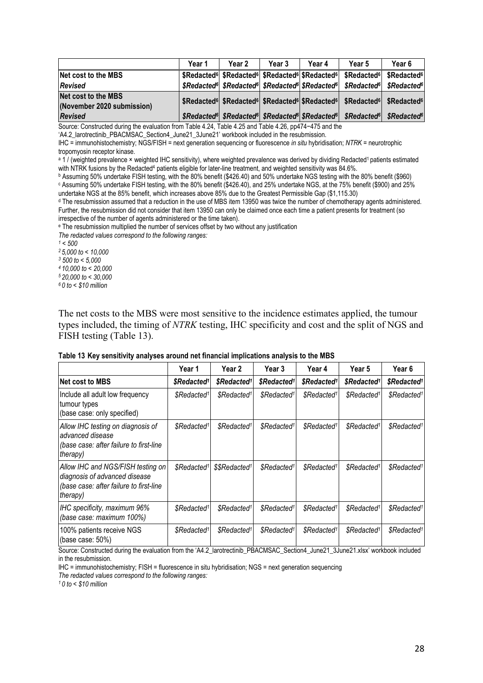|                                                   | Year 1 | Year 2 | Year 3 | Year 4 | Year 5                                                                                                                                          | Year 6 |
|---------------------------------------------------|--------|--------|--------|--------|-------------------------------------------------------------------------------------------------------------------------------------------------|--------|
| Net cost to the MBS                               |        |        |        |        | \$Redacted <sup>6</sup> \$Redacted <sup>6</sup> \$Redacted <sup>6</sup> \$Redacted <sup>6</sup> \$Redacted <sup>6</sup> \$Redacted <sup>6</sup> |        |
| <b>Revised</b>                                    |        |        |        |        | \$Redacted <sup>6</sup> \$Redacted <sup>6</sup> \$Redacted <sup>6</sup> \$Redacted <sup>6</sup> \$Redacted <sup>6</sup> \$Redacted <sup>6</sup> |        |
| Net cost to the MBS<br>(November 2020 submission) |        |        |        |        | \$Redacted <sup>6</sup> \$Redacted <sup>6</sup> \$Redacted <sup>6</sup> \$Redacted <sup>6</sup> \$Redacted <sup>6</sup> \$Redacted <sup>6</sup> |        |
| <b>Revised</b>                                    |        |        |        |        | \$Redacted <sup>6</sup> \$Redacted <sup>6</sup> \$Redacted <sup>6</sup> \$Redacted <sup>6</sup> \$Redacted <sup>6</sup> \$Redacted <sup>6</sup> |        |

Source: Constructed during the evaluation from Table 4.24, Table 4.25 and Table 4.26, pp474−475 and the

'A4.2\_larotrectinib\_PBACMSAC\_Section4\_June21\_3June21' workbook included in the resubmission.

IHC = immunohistochemistry; NGS/FISH = next generation sequencing or fluorescence *in situ* hybridisation; *NTRK* = neurotrophic tropomyosin receptor kinase.

a 1 / (weighted prevalence × weighted IHC sensitivity), where weighted prevalence was derived by dividing Redacted<sup>1</sup> patients estimated with NTRK fusions by the Redacted<sup>4</sup> patients eligible for later-line treatment, and weighted sensitivity was 84.6%.

<sup>b</sup> Assuming 50% undertake FISH testing, with the 80% benefit (\$426.40) and 50% undertake NGS testing with the 80% benefit (\$960) <sup>c</sup> Assuming 50% undertake FISH testing, with the 80% benefit (\$426.40), and 25% undertake NGS, at the 75% benefit (\$900) and 25% undertake NGS at the 85% benefit, which increases above 85% due to the Greatest Permissible Gap (\$1,115.30)

<sup>d</sup> The resubmission assumed that a reduction in the use of MBS item 13950 was twice the number of chemotherapy agents administered. Further, the resubmission did not consider that item 13950 can only be claimed once each time a patient presents for treatment (so irrespective of the number of agents administered or the time taken).

<sup>e</sup> The resubmission multiplied the number of services offset by two without any justification

*The redacted values correspond to the following ranges:*

*<sup>1</sup> < 500*

*<sup>2</sup> 5,000 to < 10,000 <sup>3</sup> 500 to < 5,000*

*4 10,000 to < 20,000 5 20,000 to < 30,000*

*<sup>6</sup> 0 to < \$10 million*

The net costs to the MBS were most sensitive to the incidence estimates applied, the tumour types included, the timing of *NTRK* testing, IHC specificity and cost and the split of NGS and FISH testing (Table 13).

|                                                                                                                                  | Year 1                       | Year 2                    | Year 3                  | Year 4                  | Year 5                  | Year 6                  |
|----------------------------------------------------------------------------------------------------------------------------------|------------------------------|---------------------------|-------------------------|-------------------------|-------------------------|-------------------------|
| <b>Net cost to MBS</b>                                                                                                           | \$Redacted <sup>1</sup>      | \$Redacted <sup>1</sup>   | \$Redacted <sup>1</sup> | \$Redacted <sup>1</sup> | \$Redacted <sup>1</sup> | \$Redacted <sup>1</sup> |
| Include all adult low frequency<br>tumour types<br>(base case: only specified)                                                   | <i>SRedacted<sup>1</sup></i> | \$Redacted <sup>1</sup>   | \$Redacted <sup>1</sup> | \$Redacted <sup>1</sup> | \$Redacted <sup>1</sup> | \$Redacted <sup>1</sup> |
| Allow IHC testing on diagnosis of<br>advanced disease<br>(base case: after failure to first-line<br>therapy)                     | \$Redacted <sup>1</sup>      | \$Redacted <sup>1</sup>   | \$Redacted <sup>1</sup> | \$Redacted <sup>1</sup> | \$Redacted <sup>1</sup> | \$Redacted <sup>1</sup> |
| Allow IHC and NGS/FISH testing on<br>diagnosis of advanced disease<br>(base case: after failure to first-line<br><i>therapy)</i> | \$Redacted <sup>1</sup>      | \$\$Redacted <sup>1</sup> | \$Redacted <sup>1</sup> | \$Redacted <sup>1</sup> | \$Redacted <sup>1</sup> | \$Redacted <sup>1</sup> |
| IHC specificity, maximum 96%<br>(base case: maximum 100%)                                                                        | \$Redacted <sup>1</sup>      | \$Redacted <sup>1</sup>   | \$Redacted <sup>1</sup> | \$Redacted <sup>1</sup> | \$Redacted <sup>1</sup> | \$Redacted <sup>1</sup> |
| 100% patients receive NGS<br>(base case: $50\%$ )                                                                                | \$Redacted <sup>1</sup>      | \$Redacted <sup>1</sup>   | \$Redacted <sup>1</sup> | \$Redacted <sup>1</sup> | \$Redacted <sup>1</sup> | \$Redacted <sup>1</sup> |

#### **Table 13 Key sensitivity analyses around net financial implications analysis to the MBS**

Source: Constructed during the evaluation from the 'A4.2\_larotrectinib\_PBACMSAC\_Section4\_June21\_3June21.xlsx' workbook included in the resubmission.

IHC = immunohistochemistry; FISH = fluorescence in situ hybridisation; NGS = next generation sequencing

*The redacted values correspond to the following ranges:*

*1 0 to < \$10 million*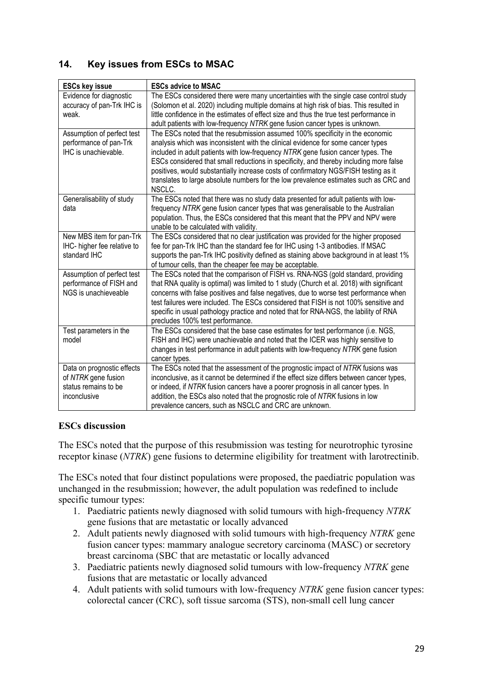# **14. Key issues from ESCs to MSAC**

| <b>ESCs key issue</b>                                                                     | <b>ESCs advice to MSAC</b>                                                                                                                                                                                                                                                                                                                                                                                                                                                                                                                 |
|-------------------------------------------------------------------------------------------|--------------------------------------------------------------------------------------------------------------------------------------------------------------------------------------------------------------------------------------------------------------------------------------------------------------------------------------------------------------------------------------------------------------------------------------------------------------------------------------------------------------------------------------------|
| Evidence for diagnostic<br>accuracy of pan-Trk IHC is<br>weak.                            | The ESCs considered there were many uncertainties with the single case control study<br>(Solomon et al. 2020) including multiple domains at high risk of bias. This resulted in<br>little confidence in the estimates of effect size and thus the true test performance in<br>adult patients with low-frequency NTRK gene fusion cancer types is unknown.                                                                                                                                                                                  |
| Assumption of perfect test<br>performance of pan-Trk<br>IHC is unachievable.              | The ESCs noted that the resubmission assumed 100% specificity in the economic<br>analysis which was inconsistent with the clinical evidence for some cancer types<br>included in adult patients with low-frequency NTRK gene fusion cancer types. The<br>ESCs considered that small reductions in specificity, and thereby including more false<br>positives, would substantially increase costs of confirmatory NGS/FISH testing as it<br>translates to large absolute numbers for the low prevalence estimates such as CRC and<br>NSCLC. |
| Generalisability of study<br>data                                                         | The ESCs noted that there was no study data presented for adult patients with low-<br>frequency NTRK gene fusion cancer types that was generalisable to the Australian<br>population. Thus, the ESCs considered that this meant that the PPV and NPV were<br>unable to be calculated with validity.                                                                                                                                                                                                                                        |
| New MBS item for pan-Trk<br>IHC- higher fee relative to<br>standard IHC                   | The ESCs considered that no clear justification was provided for the higher proposed<br>fee for pan-Trk IHC than the standard fee for IHC using 1-3 antibodies. If MSAC<br>supports the pan-Trk IHC positivity defined as staining above background in at least 1%<br>of tumour cells, than the cheaper fee may be acceptable.                                                                                                                                                                                                             |
| Assumption of perfect test<br>performance of FISH and<br>NGS is unachieveable             | The ESCs noted that the comparison of FISH vs. RNA-NGS (gold standard, providing<br>that RNA quality is optimal) was limited to 1 study (Church et al. 2018) with significant<br>concerns with false positives and false negatives, due to worse test performance when<br>test failures were included. The ESCs considered that FISH is not 100% sensitive and<br>specific in usual pathology practice and noted that for RNA-NGS, the lability of RNA<br>precludes 100% test performance.                                                 |
| Test parameters in the<br>model                                                           | The ESCs considered that the base case estimates for test performance (i.e. NGS,<br>FISH and IHC) were unachievable and noted that the ICER was highly sensitive to<br>changes in test performance in adult patients with low-frequency NTRK gene fusion<br>cancer types.                                                                                                                                                                                                                                                                  |
| Data on prognostic effects<br>of NTRK gene fusion<br>status remains to be<br>inconclusive | The ESCs noted that the assessment of the prognostic impact of NTRK fusions was<br>inconclusive, as it cannot be determined if the effect size differs between cancer types,<br>or indeed, if NTRK fusion cancers have a poorer prognosis in all cancer types. In<br>addition, the ESCs also noted that the prognostic role of NTRK fusions in low<br>prevalence cancers, such as NSCLC and CRC are unknown.                                                                                                                               |

# **ESCs discussion**

The ESCs noted that the purpose of this resubmission was testing for neurotrophic tyrosine receptor kinase (*NTRK*) gene fusions to determine eligibility for treatment with larotrectinib.

The ESCs noted that four distinct populations were proposed, the paediatric population was unchanged in the resubmission; however, the adult population was redefined to include specific tumour types:

- 1. Paediatric patients newly diagnosed with solid tumours with high-frequency *NTRK* gene fusions that are metastatic or locally advanced
- 2. Adult patients newly diagnosed with solid tumours with high-frequency *NTRK* gene fusion cancer types: mammary analogue secretory carcinoma (MASC) or secretory breast carcinoma (SBC that are metastatic or locally advanced
- 3. Paediatric patients newly diagnosed solid tumours with low-frequency *NTRK* gene fusions that are metastatic or locally advanced
- 4. Adult patients with solid tumours with low-frequency *NTRK* gene fusion cancer types: colorectal cancer (CRC), soft tissue sarcoma (STS), non-small cell lung cancer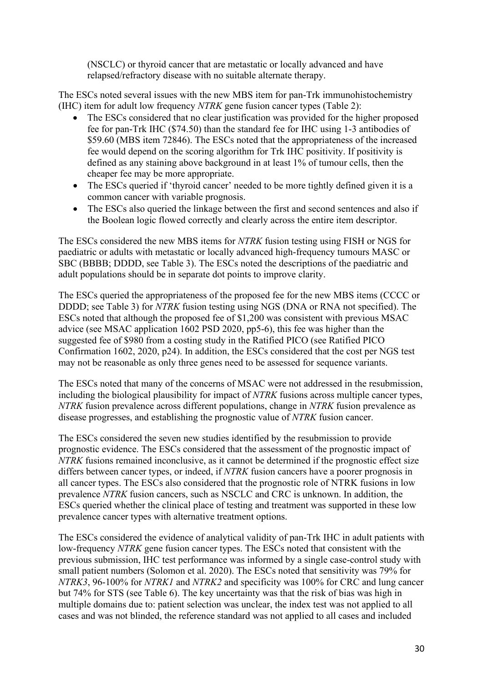(NSCLC) or thyroid cancer that are metastatic or locally advanced and have relapsed/refractory disease with no suitable alternate therapy.

The ESCs noted several issues with the new MBS item for pan-Trk immunohistochemistry (IHC) item for adult low frequency *NTRK* gene fusion cancer types (Table 2):

- The ESCs considered that no clear justification was provided for the higher proposed fee for pan-Trk IHC (\$74.50) than the standard fee for IHC using 1-3 antibodies of \$59.60 (MBS item 72846). The ESCs noted that the appropriateness of the increased fee would depend on the scoring algorithm for Trk IHC positivity. If positivity is defined as any staining above background in at least 1% of tumour cells, then the cheaper fee may be more appropriate.
- The ESCs queried if 'thyroid cancer' needed to be more tightly defined given it is a common cancer with variable prognosis.
- The ESCs also queried the linkage between the first and second sentences and also if the Boolean logic flowed correctly and clearly across the entire item descriptor.

The ESCs considered the new MBS items for *NTRK* fusion testing using FISH or NGS for paediatric or adults with metastatic or locally advanced high-frequency tumours MASC or SBC (BBBB; DDDD, see Table 3). The ESCs noted the descriptions of the paediatric and adult populations should be in separate dot points to improve clarity.

The ESCs queried the appropriateness of the proposed fee for the new MBS items (CCCC or DDDD; see Table 3) for *NTRK* fusion testing using NGS (DNA or RNA not specified). The ESCs noted that although the proposed fee of \$1,200 was consistent with previous MSAC advice (see MSAC application 1602 PSD 2020, pp5-6), this fee was higher than the suggested fee of \$980 from a costing study in the Ratified PICO (see Ratified PICO Confirmation 1602, 2020, p24). In addition, the ESCs considered that the cost per NGS test may not be reasonable as only three genes need to be assessed for sequence variants.

The ESCs noted that many of the concerns of MSAC were not addressed in the resubmission, including the biological plausibility for impact of *NTRK* fusions across multiple cancer types, *NTRK* fusion prevalence across different populations, change in *NTRK* fusion prevalence as disease progresses, and establishing the prognostic value of *NTRK* fusion cancer.

The ESCs considered the seven new studies identified by the resubmission to provide prognostic evidence. The ESCs considered that the assessment of the prognostic impact of *NTRK* fusions remained inconclusive, as it cannot be determined if the prognostic effect size differs between cancer types, or indeed, if *NTRK* fusion cancers have a poorer prognosis in all cancer types. The ESCs also considered that the prognostic role of NTRK fusions in low prevalence *NTRK* fusion cancers, such as NSCLC and CRC is unknown. In addition, the ESCs queried whether the clinical place of testing and treatment was supported in these low prevalence cancer types with alternative treatment options.

The ESCs considered the evidence of analytical validity of pan-Trk IHC in adult patients with low-frequency *NTRK* gene fusion cancer types. The ESCs noted that consistent with the previous submission, IHC test performance was informed by a single case-control study with small patient numbers (Solomon et al. 2020). The ESCs noted that sensitivity was 79% for *NTRK3*, 96-100% for *NTRK1* and *NTRK2* and specificity was 100% for CRC and lung cancer but 74% for STS (see Table 6). The key uncertainty was that the risk of bias was high in multiple domains due to: patient selection was unclear, the index test was not applied to all cases and was not blinded, the reference standard was not applied to all cases and included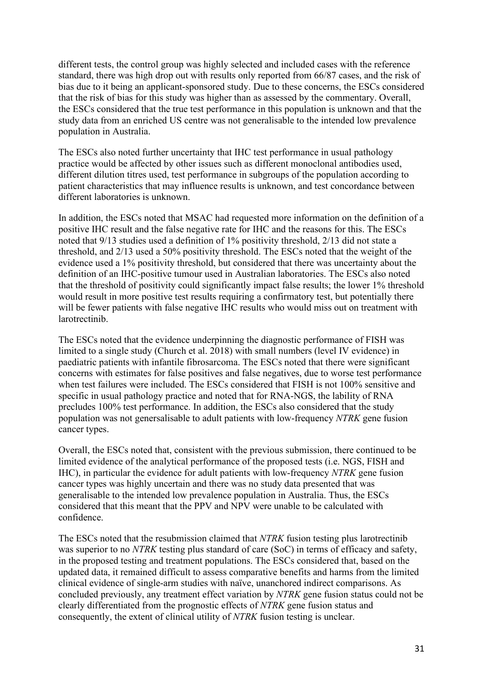different tests, the control group was highly selected and included cases with the reference standard, there was high drop out with results only reported from 66/87 cases, and the risk of bias due to it being an applicant-sponsored study. Due to these concerns, the ESCs considered that the risk of bias for this study was higher than as assessed by the commentary. Overall, the ESCs considered that the true test performance in this population is unknown and that the study data from an enriched US centre was not generalisable to the intended low prevalence population in Australia.

The ESCs also noted further uncertainty that IHC test performance in usual pathology practice would be affected by other issues such as different monoclonal antibodies used, different dilution titres used, test performance in subgroups of the population according to patient characteristics that may influence results is unknown, and test concordance between different laboratories is unknown.

In addition, the ESCs noted that MSAC had requested more information on the definition of a positive IHC result and the false negative rate for IHC and the reasons for this. The ESCs noted that 9/13 studies used a definition of 1% positivity threshold, 2/13 did not state a threshold, and 2/13 used a 50% positivity threshold. The ESCs noted that the weight of the evidence used a 1% positivity threshold, but considered that there was uncertainty about the definition of an IHC-positive tumour used in Australian laboratories. The ESCs also noted that the threshold of positivity could significantly impact false results; the lower 1% threshold would result in more positive test results requiring a confirmatory test, but potentially there will be fewer patients with false negative IHC results who would miss out on treatment with larotrectinib.

The ESCs noted that the evidence underpinning the diagnostic performance of FISH was limited to a single study (Church et al. 2018) with small numbers (level IV evidence) in paediatric patients with infantile fibrosarcoma. The ESCs noted that there were significant concerns with estimates for false positives and false negatives, due to worse test performance when test failures were included. The ESCs considered that FISH is not 100% sensitive and specific in usual pathology practice and noted that for RNA-NGS, the lability of RNA precludes 100% test performance. In addition, the ESCs also considered that the study population was not genersalisable to adult patients with low-frequency *NTRK* gene fusion cancer types.

Overall, the ESCs noted that, consistent with the previous submission, there continued to be limited evidence of the analytical performance of the proposed tests (i.e. NGS, FISH and IHC), in particular the evidence for adult patients with low-frequency *NTRK* gene fusion cancer types was highly uncertain and there was no study data presented that was generalisable to the intended low prevalence population in Australia. Thus, the ESCs considered that this meant that the PPV and NPV were unable to be calculated with confidence.

The ESCs noted that the resubmission claimed that *NTRK* fusion testing plus larotrectinib was superior to no *NTRK* testing plus standard of care (SoC) in terms of efficacy and safety, in the proposed testing and treatment populations. The ESCs considered that, based on the updated data, it remained difficult to assess comparative benefits and harms from the limited clinical evidence of single-arm studies with naïve, unanchored indirect comparisons. As concluded previously, any treatment effect variation by *NTRK* gene fusion status could not be clearly differentiated from the prognostic effects of *NTRK* gene fusion status and consequently, the extent of clinical utility of *NTRK* fusion testing is unclear.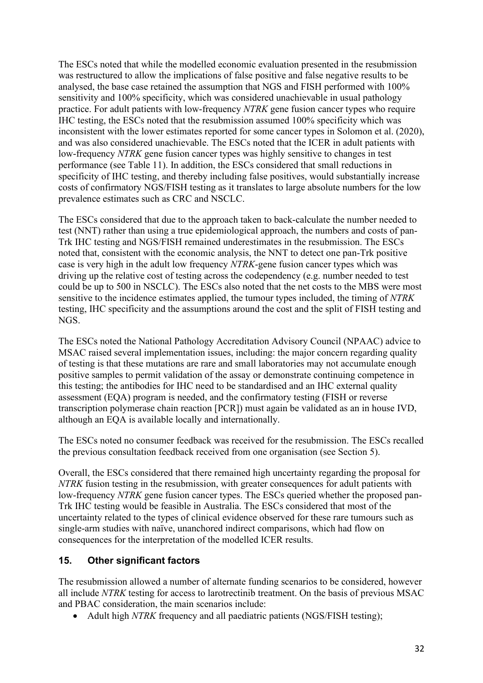The ESCs noted that while the modelled economic evaluation presented in the resubmission was restructured to allow the implications of false positive and false negative results to be analysed, the base case retained the assumption that NGS and FISH performed with 100% sensitivity and 100% specificity, which was considered unachievable in usual pathology practice. For adult patients with low-frequency *NTRK* gene fusion cancer types who require IHC testing, the ESCs noted that the resubmission assumed 100% specificity which was inconsistent with the lower estimates reported for some cancer types in Solomon et al. (2020), and was also considered unachievable. The ESCs noted that the ICER in adult patients with low-frequency *NTRK* gene fusion cancer types was highly sensitive to changes in test performance (see Table 11). In addition, the ESCs considered that small reductions in specificity of IHC testing, and thereby including false positives, would substantially increase costs of confirmatory NGS/FISH testing as it translates to large absolute numbers for the low prevalence estimates such as CRC and NSCLC.

The ESCs considered that due to the approach taken to back-calculate the number needed to test (NNT) rather than using a true epidemiological approach, the numbers and costs of pan-Trk IHC testing and NGS/FISH remained underestimates in the resubmission. The ESCs noted that, consistent with the economic analysis, the NNT to detect one pan-Trk positive case is very high in the adult low frequency *NTRK*-gene fusion cancer types which was driving up the relative cost of testing across the codependency (e.g. number needed to test could be up to 500 in NSCLC). The ESCs also noted that the net costs to the MBS were most sensitive to the incidence estimates applied, the tumour types included, the timing of *NTRK* testing, IHC specificity and the assumptions around the cost and the split of FISH testing and NGS.

The ESCs noted the National Pathology Accreditation Advisory Council (NPAAC) advice to MSAC raised several implementation issues, including: the major concern regarding quality of testing is that these mutations are rare and small laboratories may not accumulate enough positive samples to permit validation of the assay or demonstrate continuing competence in this testing; the antibodies for IHC need to be standardised and an IHC external quality assessment (EQA) program is needed, and the confirmatory testing (FISH or reverse transcription polymerase chain reaction [PCR]) must again be validated as an in house IVD, although an EQA is available locally and internationally.

The ESCs noted no consumer feedback was received for the resubmission. The ESCs recalled the previous consultation feedback received from one organisation (see Section 5).

Overall, the ESCs considered that there remained high uncertainty regarding the proposal for *NTRK* fusion testing in the resubmission, with greater consequences for adult patients with low-frequency *NTRK* gene fusion cancer types. The ESCs queried whether the proposed pan-Trk IHC testing would be feasible in Australia. The ESCs considered that most of the uncertainty related to the types of clinical evidence observed for these rare tumours such as single-arm studies with naïve, unanchored indirect comparisons, which had flow on consequences for the interpretation of the modelled ICER results.

# **15. Other significant factors**

The resubmission allowed a number of alternate funding scenarios to be considered, however all include *NTRK* testing for access to larotrectinib treatment. On the basis of previous MSAC and PBAC consideration, the main scenarios include:

• Adult high *NTRK* frequency and all paediatric patients (NGS/FISH testing);